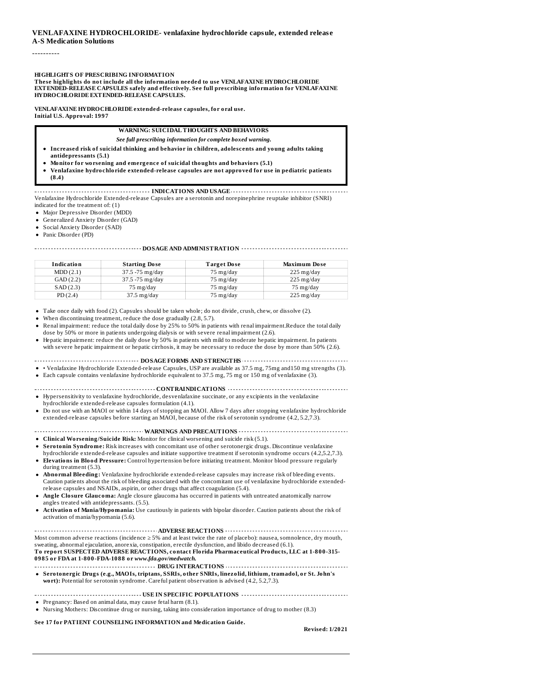----------

**HIGHLIGHTS OF PRESCRIBING INFORMATION**

**These highlights do not include all the information needed to use VENLAFAXINE HYDROCHLORIDE EXTENDED-RELEASE CAPSULES safely and effectively. See full prescribing information for VENLAFAXINE HYDROCHLORIDE EXTENDED-RELEASE CAPSULES.**

**VENLAFAXINE HYDROCHLORIDE extended-release capsules, for oral use. Initial U.S. Approval: 1997**

# **WARNING: SUICIDAL THOUGHTS AND BEHAVIORS**

- *See full prescribing information for complete boxed warning.*
- **Increased risk of suicidal thinking and behavior in children, adolescents and young adults taking antidepressants (5.1)**
- **Monitor for worsening and emergence of suicidal thoughts and behaviors (5.1)**
- **Venlafaxine hydrochloride extended-release capsules are not approved for use in pediatric patients (8.4)**

**INDICATIONS AND USAGE** Venlafaxine Hydrochloride Extended-release Capsules are a serotonin and norepinephrine reuptake inhibitor (SNRI) indicated for the treatment of: (1)

- Major Depressive Disorder (MDD)
- Generalized Anxiety Disorder (GAD)
- Social Anxiety Disorder (SAD)
- Panic Disorder (PD)

**DOSAGE AND ADMINISTRATION CONSIDERATION CONSIDERATION CONSIDERATION** 

| Indication | <b>Starting Dose</b> | <b>Target Dose</b> | <b>Maximum Dose</b>  |
|------------|----------------------|--------------------|----------------------|
| MDD(2.1)   | 37.5 -75 mg/day      | 75 mg/day          | $225 \text{ mg/day}$ |
| GAD(2.2)   | 37.5 -75 mg/day      | 75 mg/day          | $225 \text{ mg/day}$ |
| SAD(2.3)   | 75 mg/day            | 75 mg/day          | 75 mg/day            |
| PD(2.4)    | $37.5$ mg/day        | 75 mg/day          | $225 \text{ mg/day}$ |

Take once daily with food (2). Capsules should be taken whole; do not divide, crush, chew, or dissolve (2).

When discontinuing treatment, reduce the dose gradually (2.8, 5.7).

- Renal impairment: reduce the total daily dose by 25% to 50% in patients with renal impairment.Reduce the total daily dose by 50% or more in patients undergoing dialysis or with severe renal impairment (2.6).
- Hepatic impairment: reduce the daily dose by 50% in patients with mild to moderate hepatic impairment. In patients with severe hepatic impairment or hepatic cirrhosis, it may be necessary to reduce the dose by more than 50% (2.6).

**DOSAGE FORMS AND STRENGTHS**

• Venlafaxine Hydrochloride Extended-release Capsules, USP are available as 37.5 mg, 75mg and150 mg strengths (3).

Each capsule contains venlafaxine hydrochloride equivalent to 37.5 mg, 75 mg or 150 mg of venlafaxine (3).

**CONTRAINDICATIONS**

- Hypersensitivity to venlafaxine hydrochloride, desvenlafaxine succinate, or any excipients in the venlafaxine
- hydrochloride extended-release capsules formulation (4.1).

Do not use with an MAOI or within 14 days of stopping an MAOI. Allow 7 days after stopping venlafaxine hydrochloride extended-release capsules before starting an MAOI, because of the risk of serotonin syndrome (4.2, 5.2,7.3).

#### **WARNINGS AND PRECAUTIONS WARNINGS AND PRECAUTIONS**

**Clinical Worsening/Suicide Risk:** Monitor for clinical worsening and suicide risk (5.1).

**Serotonin Syndrome:** Risk increases with concomitant use of other serotonergic drugs. Discontinue venlafaxine hydrochloride extended-release capsules and initiate supportive treatment if serotonin syndrome occurs (4.2,5.2,7.3).

- **Elevations in Blood Pressure:** Control hypertension before initiating treatment. Monitor blood pressure regularly during treatment (5.3).
- **Abnormal Bleeding:** Venlafaxine hydrochloride extended-release capsules may increase risk of bleeding events. Caution patients about the risk of bleeding associated with the concomitant use of venlafaxine hydrochloride extendedrelease capsules and NSAIDs, aspirin, or other drugs that affect coagulation (5.4).
- **Angle Closure Glaucoma:** Angle closure glaucoma has occurred in patients with untreated anatomically narrow angles treated with antidepressants. (5.5).
- **Activation of Mania/Hypomania:** Use cautiously in patients with bipolar disorder. Caution patients about the risk of activation of mania/hypomania (5.6).

**ADVERSE REACTIONS** Most common adverse reactions (incidence ≥ 5% and at least twice the rate of placebo): nausea, somnolence, dry mouth, sweating, abnormal ejaculation, anorexia, constipation, erectile dysfunction, and libido decreased (6.1). **To report SUSPECTED ADVERSE REACTIONS, contact Florida Pharmaceutical Products, LLC at 1-800-315- 0985 or FDA at 1-800-FDA-1088 or** *www.fda.gov/medwatch.*

**DRUG INTERACTIONS Serotonergic Drugs (e.g., MAOIs, triptans, SSRIs, other SNRIs, linezolid, lithium, tramadol, or St. John's wort):** Potential for serotonin syndrome. Careful patient observation is advised (4.2, 5.2,7.3).

**USE IN SPECIFIC POPULATIONS**

Pregnancy: Based on animal data, may cause fetal harm (8.1).

Nursing Mothers: Discontinue drug or nursing, taking into consideration importance of drug to mother (8.3)

**See 17 for PATIENT COUNSELING INFORMATION and Medication Guide.**

**Revised: 1/2021**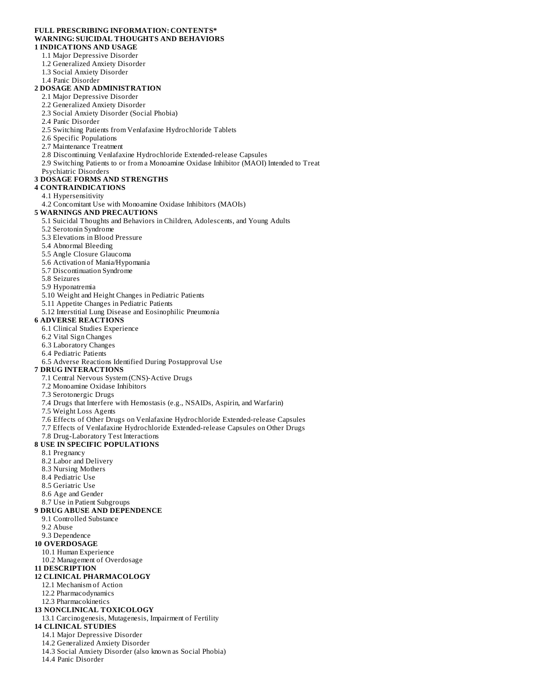# **FULL PRESCRIBING INFORMATION: CONTENTS\* WARNING: SUICIDAL THOUGHTS AND BEHAVIORS**

# **1 INDICATIONS AND USAGE**

- 1.1 Major Depressive Disorder
- 1.2 Generalized Anxiety Disorder
- 1.3 Social Anxiety Disorder
- 1.4 Panic Disorder

# **2 DOSAGE AND ADMINISTRATION**

# 2.1 Major Depressive Disorder

- 2.2 Generalized Anxiety Disorder
- 2.3 Social Anxiety Disorder (Social Phobia)
- 2.4 Panic Disorder
- 2.5 Switching Patients from Venlafaxine Hydrochloride Tablets
- 2.6 Specific Populations
- 2.7 Maintenance Treatment
- 2.8 Discontinuing Venlafaxine Hydrochloride Extended-release Capsules
- 2.9 Switching Patients to or from a Monoamine Oxidase Inhibitor (MAOI) Intended to Treat
- Psychiatric Disorders

## **3 DOSAGE FORMS AND STRENGTHS**

- **4 CONTRAINDICATIONS**
	- 4.1 Hypersensitivity
- 4.2 Concomitant Use with Monoamine Oxidase Inhibitors (MAOIs)

## **5 WARNINGS AND PRECAUTIONS**

- 5.1 Suicidal Thoughts and Behaviors in Children, Adolescents, and Young Adults
- 5.2 Serotonin Syndrome
- 5.3 Elevations in Blood Pressure
- 5.4 Abnormal Bleeding
- 5.5 Angle Closure Glaucoma
- 5.6 Activation of Mania/Hypomania
- 5.7 Discontinuation Syndrome
- 5.8 Seizures
- 5.9 Hyponatremia
- 5.10 Weight and Height Changes in Pediatric Patients
- 5.11 Appetite Changes in Pediatric Patients
- 5.12 Interstitial Lung Disease and Eosinophilic Pneumonia

## **6 ADVERSE REACTIONS**

- 6.1 Clinical Studies Experience
- 6.2 Vital Sign Changes
- 6.3 Laboratory Changes
- 6.4 Pediatric Patients
- 6.5 Adverse Reactions Identified During Postapproval Use
- **7 DRUG INTERACTIONS**
	- 7.1 Central Nervous System (CNS)-Active Drugs
	- 7.2 Monoamine Oxidase Inhibitors
	- 7.3 Serotonergic Drugs
	- 7.4 Drugs that Interfere with Hemostasis (e.g., NSAIDs, Aspirin, and Warfarin)
	- 7.5 Weight Loss Agents
	- 7.6 Effects of Other Drugs on Venlafaxine Hydrochloride Extended-release Capsules
	- 7.7 Effects of Venlafaxine Hydrochloride Extended-release Capsules on Other Drugs

# 7.8 Drug-Laboratory Test Interactions

# **8 USE IN SPECIFIC POPULATIONS**

- 8.1 Pregnancy
- 8.2 Labor and Delivery
- 8.3 Nursing Mothers
- 8.4 Pediatric Use
- 8.5 Geriatric Use
- 8.6 Age and Gender
- 8.7 Use in Patient Subgroups

## **9 DRUG ABUSE AND DEPENDENCE**

- 9.1 Controlled Substance
- 9.2 Abuse
- 9.3 Dependence

#### **10 OVERDOSAGE**

- 10.1 Human Experience
- 10.2 Management of Overdosage

## **11 DESCRIPTION**

## **12 CLINICAL PHARMACOLOGY**

- 12.1 Mechanism of Action
- 12.2 Pharmacodynamics
- 12.3 Pharmacokinetics

## **13 NONCLINICAL TOXICOLOGY**

13.1 Carcinogenesis, Mutagenesis, Impairment of Fertility

# **14 CLINICAL STUDIES**

- 14.1 Major Depressive Disorder
- 14.2 Generalized Anxiety Disorder
- 14.3 Social Anxiety Disorder (also known as Social Phobia)
- 14.4 Panic Disorder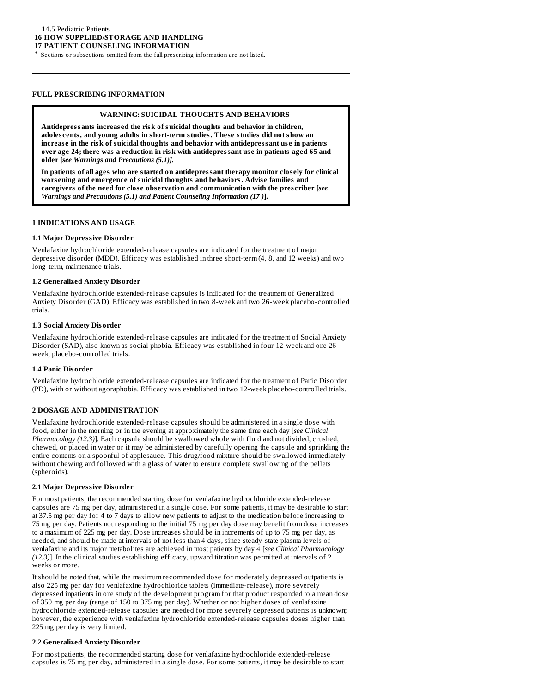#### 14.5 Pediatric Patients **16 HOW SUPPLIED/STORAGE AND HANDLING 17 PATIENT COUNSELING INFORMATION**

\* Sections or subsections omitted from the full prescribing information are not listed.

#### **FULL PRESCRIBING INFORMATION**

#### **WARNING: SUICIDAL THOUGHTS AND BEHAVIORS**

**Antidepressants increas ed the risk of suicidal thoughts and behavior in children, adoles cents, and young adults in short-term studies. Thes e studies did not show an increas e in the risk of suicidal thoughts and behavior with antidepressant us e in patients over age 24; there was a reduction in risk with antidepressant us e in patients aged 65 and older [***see Warnings and Precautions (5.1)].*

**In patients of all ages who are started on antidepressant therapy monitor clos ely for clinical wors ening and emergence of suicidal thoughts and behaviors. Advis e families and caregivers of the need for clos e obs ervation and communication with the pres criber [***see Warnings and Precautions (5.1) and Patient Counseling Information (17 )***].**

### **1 INDICATIONS AND USAGE**

#### **1.1 Major Depressive Disorder**

Venlafaxine hydrochloride extended-release capsules are indicated for the treatment of major depressive disorder (MDD). Efficacy was established in three short-term (4, 8, and 12 weeks) and two long-term, maintenance trials.

#### **1.2 Generalized Anxiety Disorder**

Venlafaxine hydrochloride extended-release capsules is indicated for the treatment of Generalized Anxiety Disorder (GAD). Efficacy was established in two 8-week and two 26-week placebo-controlled trials.

#### **1.3 Social Anxiety Disorder**

Venlafaxine hydrochloride extended-release capsules are indicated for the treatment of Social Anxiety Disorder (SAD), also known as social phobia. Efficacy was established in four 12-week and one 26 week, placebo-controlled trials.

#### **1.4 Panic Disorder**

Venlafaxine hydrochloride extended-release capsules are indicated for the treatment of Panic Disorder (PD), with or without agoraphobia. Efficacy was established in two 12-week placebo-controlled trials.

#### **2 DOSAGE AND ADMINISTRATION**

Venlafaxine hydrochloride extended-release capsules should be administered in a single dose with food, either in the morning or in the evening at approximately the same time each day [*see Clinical Pharmacology (12.3)*]. Each capsule should be swallowed whole with fluid and not divided, crushed, chewed, or placed in water or it may be administered by carefully opening the capsule and sprinkling the entire contents on a spoonful of applesauce. This drug/food mixture should be swallowed immediately without chewing and followed with a glass of water to ensure complete swallowing of the pellets (spheroids).

#### **2.1 Major Depressive Disorder**

For most patients, the recommended starting dose for venlafaxine hydrochloride extended-release capsules are 75 mg per day, administered in a single dose. For some patients, it may be desirable to start at 37.5 mg per day for 4 to 7 days to allow new patients to adjust to the medication before increasing to 75 mg per day. Patients not responding to the initial 75 mg per day dose may benefit from dose increases to a maximum of 225 mg per day. Dose increases should be in increments of up to 75 mg per day, as needed, and should be made at intervals of not less than 4 days, since steady-state plasma levels of venlafaxine and its major metabolites are achieved in most patients by day 4 [*see Clinical Pharmacology (12.3)*]. In the clinical studies establishing efficacy, upward titration was permitted at intervals of 2 weeks or more.

It should be noted that, while the maximum recommended dose for moderately depressed outpatients is also 225 mg per day for venlafaxine hydrochloride tablets (immediate-release), more severely depressed inpatients in one study of the development program for that product responded to a mean dose of 350 mg per day (range of 150 to 375 mg per day). Whether or not higher doses of venlafaxine hydrochloride extended-release capsules are needed for more severely depressed patients is unknown; however, the experience with venlafaxine hydrochloride extended-release capsules doses higher than 225 mg per day is very limited.

#### **2.2 Generalized Anxiety Disorder**

For most patients, the recommended starting dose for venlafaxine hydrochloride extended-release capsules is 75 mg per day, administered in a single dose. For some patients, it may be desirable to start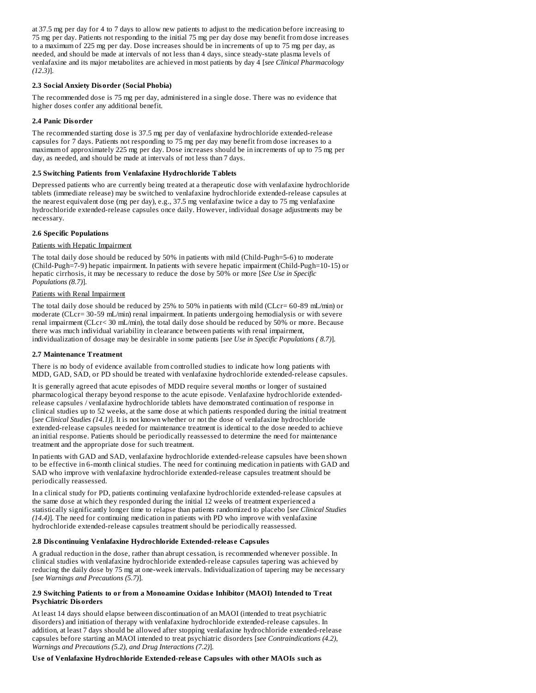at 37.5 mg per day for 4 to 7 days to allow new patients to adjust to the medication before increasing to 75 mg per day. Patients not responding to the initial 75 mg per day dose may benefit from dose increases to a maximum of 225 mg per day. Dose increases should be in increments of up to 75 mg per day, as needed, and should be made at intervals of not less than 4 days, since steady-state plasma levels of venlafaxine and its major metabolites are achieved in most patients by day 4 [*see Clinical Pharmacology (12.3)*].

## **2.3 Social Anxiety Disorder (Social Phobia)**

The recommended dose is 75 mg per day, administered in a single dose. There was no evidence that higher doses confer any additional benefit.

## **2.4 Panic Disorder**

The recommended starting dose is 37.5 mg per day of venlafaxine hydrochloride extended-release capsules for 7 days. Patients not responding to 75 mg per day may benefit from dose increases to a maximum of approximately 225 mg per day. Dose increases should be in increments of up to 75 mg per day, as needed, and should be made at intervals of not less than 7 days.

## **2.5 Switching Patients from Venlafaxine Hydrochloride Tablets**

Depressed patients who are currently being treated at a therapeutic dose with venlafaxine hydrochloride tablets (immediate release) may be switched to venlafaxine hydrochloride extended-release capsules at the nearest equivalent dose (mg per day), e.g., 37.5 mg venlafaxine twice a day to 75 mg venlafaxine hydrochloride extended-release capsules once daily. However, individual dosage adjustments may be necessary.

## **2.6 Specific Populations**

## Patients with Hepatic Impairment

The total daily dose should be reduced by 50% in patients with mild (Child-Pugh=5-6) to moderate (Child-Pugh=7-9) hepatic impairment. In patients with severe hepatic impairment (Child-Pugh=10-15) or hepatic cirrhosis, it may be necessary to reduce the dose by 50% or more [*See Use in Specific Populations (8.7)*].

## Patients with Renal Impairment

The total daily dose should be reduced by 25% to 50% in patients with mild (CLcr= 60-89 mL/min) or moderate (CLcr= 30-59 mL/min) renal impairment. In patients undergoing hemodialysis or with severe renal impairment (CLcr< 30 mL/min), the total daily dose should be reduced by 50% or more. Because there was much individual variability in clearance between patients with renal impairment, individualization of dosage may be desirable in some patients [*see Use in Specific Populations ( 8.7)*].

## **2.7 Maintenance Treatment**

There is no body of evidence available from controlled studies to indicate how long patients with MDD, GAD, SAD, or PD should be treated with venlafaxine hydrochloride extended-release capsules.

It is generally agreed that acute episodes of MDD require several months or longer of sustained pharmacological therapy beyond response to the acute episode. Venlafaxine hydrochloride extendedrelease capsules / venlafaxine hydrochloride tablets have demonstrated continuation of response in clinical studies up to 52 weeks, at the same dose at which patients responded during the initial treatment [*see Clinical Studies (14.1)*]. It is not known whether or not the dose of venlafaxine hydrochloride extended-release capsules needed for maintenance treatment is identical to the dose needed to achieve an initial response. Patients should be periodically reassessed to determine the need for maintenance treatment and the appropriate dose for such treatment.

In patients with GAD and SAD, venlafaxine hydrochloride extended-release capsules have been shown to be effective in 6-month clinical studies. The need for continuing medication in patients with GAD and SAD who improve with venlafaxine hydrochloride extended-release capsules treatment should be periodically reassessed.

In a clinical study for PD, patients continuing venlafaxine hydrochloride extended-release capsules at the same dose at which they responded during the initial 12 weeks of treatment experienced a statistically significantly longer time to relapse than patients randomized to placebo [*see Clinical Studies (14.4)*]. The need for continuing medication in patients with PD who improve with venlafaxine hydrochloride extended-release capsules treatment should be periodically reassessed.

## **2.8 Dis continuing Venlafaxine Hydrochloride Extended-releas e Capsules**

A gradual reduction in the dose, rather than abrupt cessation, is recommended whenever possible. In clinical studies with venlafaxine hydrochloride extended-release capsules tapering was achieved by reducing the daily dose by 75 mg at one-week intervals. Individualization of tapering may be necessary [*see Warnings and Precautions (5.7)*].

## **2.9 Switching Patients to or from a Monoamine Oxidas e Inhibitor (MAOI) Intended to Treat Psychiatric Disorders**

At least 14 days should elapse between discontinuation of an MAOI (intended to treat psychiatric disorders) and initiation of therapy with venlafaxine hydrochloride extended-release capsules. In addition, at least 7 days should be allowed after stopping venlafaxine hydrochloride extended-release capsules before starting an MAOI intended to treat psychiatric disorders [*see Contraindications (4.2), Warnings and Precautions (5.2), and Drug Interactions (7.2)*].

**Us e of Venlafaxine Hydrochloride Extended-releas e Capsules with other MAOIs such as**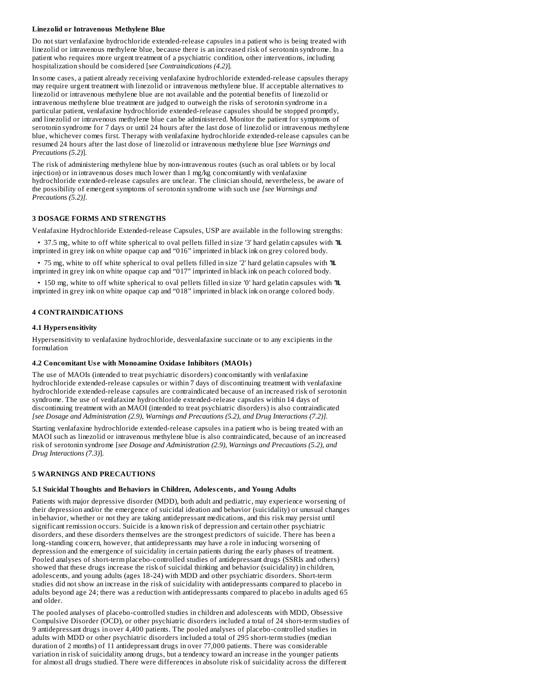## **Linezolid or Intravenous Methylene Blue**

Do not start venlafaxine hydrochloride extended-release capsules in a patient who is being treated with linezolid or intravenous methylene blue, because there is an increased risk of serotonin syndrome. In a patient who requires more urgent treatment of a psychiatric condition, other interventions, including hospitalization should be considered [*see Contraindications (4.2)*].

In some cases, a patient already receiving venlafaxine hydrochloride extended-release capsules therapy may require urgent treatment with linezolid or intravenous methylene blue. If acceptable alternatives to linezolid or intravenous methylene blue are not available and the potential benefits of linezolid or intravenous methylene blue treatment are judged to outweigh the risks of serotonin syndrome in a particular patient, venlafaxine hydrochloride extended-release capsules should be stopped promptly, and linezolid or intravenous methylene blue can be administered. Monitor the patient for symptoms of serotonin syndrome for 7 days or until 24 hours after the last dose of linezolid or intravenous methylene blue, whichever comes first. Therapy with venlafaxine hydrochloride extended-release capsules can be resumed 24 hours after the last dose of linezolid or intravenous methylene blue [*see Warnings and Precautions (5.2)*].

The risk of administering methylene blue by non-intravenous routes (such as oral tablets or by local injection) or in intravenous doses much lower than 1 mg/kg concomitantly with venlafaxine hydrochloride extended-release capsules are unclear. The clinician should, nevertheless, be aware of the possibility of emergent symptoms of serotonin syndrome with such use *[see Warnings and Precautions (5.2)].*

## **3 DOSAGE FORMS AND STRENGTHS**

Venlafaxine Hydrochloride Extended-release Capsules, USP are available in the following strengths:

• 37.5 mg, white to off white spherical to oval pellets filled in size '3' hard gelatin capsules with  $1L$ imprinted in grey ink on white opaque cap and "016" imprinted in black ink on grey colored body.

• 75 mg, white to off white spherical to oval pellets filled in size '2' hard gelatin capsules with  $1L$ imprinted in grey ink on white opaque cap and "017" imprinted in black ink on peach colored body.

• 150 mg, white to off white spherical to oval pellets filled in size '0' hard gelatin capsules with  $1$ . imprinted in grey ink on white opaque cap and "018" imprinted in black ink on orange colored body.

## **4 CONTRAINDICATIONS**

## **4.1 Hypers ensitivity**

Hypersensitivity to venlafaxine hydrochloride, desvenlafaxine succinate or to any excipients in the formulation

## **4.2 Concomitant Us e with Monoamine Oxidas e Inhibitors (MAOIs)**

The use of MAOIs (intended to treat psychiatric disorders) concomitantly with venlafaxine hydrochloride extended-release capsules or within 7 days of discontinuing treatment with venlafaxine hydrochloride extended-release capsules are contraindicated because of an increased risk of serotonin syndrome. The use of venlafaxine hydrochloride extended-release capsules within 14 days of discontinuing treatment with an MAOI (intended to treat psychiatric disorders) is also contraindicated *[see Dosage and Administration (2.9), Warnings and Precautions (5.2), and Drug Interactions (7.2)].*

Starting venlafaxine hydrochloride extended-release capsules in a patient who is being treated with an MAOI such as linezolid or intravenous methylene blue is also contraindicated, because of an increased risk of serotonin syndrome [*see Dosage and Administration (2.9), Warnings and Precautions (5.2), and Drug Interactions (7.3)*].

## **5 WARNINGS AND PRECAUTIONS**

## **5.1 Suicidal Thoughts and Behaviors in Children, Adoles cents, and Young Adults**

Patients with major depressive disorder (MDD), both adult and pediatric, may experience worsening of their depression and/or the emergence of suicidal ideation and behavior (suicidality) or unusual changes in behavior, whether or not they are taking antidepressant medications, and this risk may persist until significant remission occurs. Suicide is a known risk of depression and certain other psychiatric disorders, and these disorders themselves are the strongest predictors of suicide. There has been a long-standing concern, however, that antidepressants may have a role in inducing worsening of depression and the emergence of suicidality in certain patients during the early phases of treatment. Pooled analyses of short-term placebo-controlled studies of antidepressant drugs (SSRIs and others) showed that these drugs increase the risk of suicidal thinking and behavior (suicidality) in children, adolescents, and young adults (ages 18-24) with MDD and other psychiatric disorders. Short-term studies did not show an increase in the risk of suicidality with antidepressants compared to placebo in adults beyond age 24; there was a reduction with antidepressants compared to placebo in adults aged 65 and older.

The pooled analyses of placebo-controlled studies in children and adolescents with MDD, Obsessive Compulsive Disorder (OCD), or other psychiatric disorders included a total of 24 short-term studies of 9 antidepressant drugs in over 4,400 patients. The pooled analyses of placebo-controlled studies in adults with MDD or other psychiatric disorders included a total of 295 short-term studies (median duration of 2 months) of 11 antidepressant drugs in over 77,000 patients. There was considerable variation in risk of suicidality among drugs, but a tendency toward an increase in the younger patients for almost all drugs studied. There were differences in absolute risk of suicidality across the different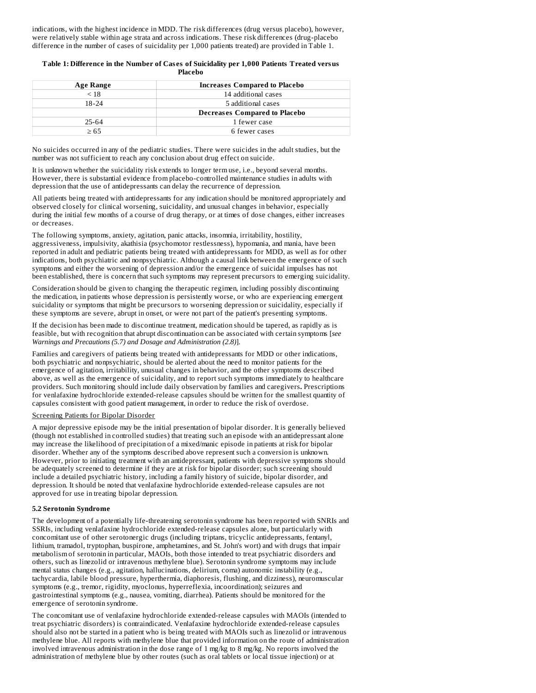indications, with the highest incidence in MDD. The risk differences (drug versus placebo), however, were relatively stable within age strata and across indications. These risk differences (drug-placebo difference in the number of cases of suicidality per 1,000 patients treated) are provided in Table 1.

#### **Table 1: Difference in the Number of Cas es of Suicidality per 1,000 Patients Treated versus Placebo**

| <b>Increases Compared to Placebo</b><br>Age Range |                                      |  |
|---------------------------------------------------|--------------------------------------|--|
| < 18                                              | 14 additional cases                  |  |
| $18 - 24$                                         | 5 additional cases                   |  |
|                                                   | <b>Decreases Compared to Placebo</b> |  |
| 25-64                                             | 1 fewer case                         |  |
| - 65                                              | 6 fewer cases                        |  |

No suicides occurred in any of the pediatric studies. There were suicides in the adult studies, but the number was not sufficient to reach any conclusion about drug effect on suicide.

It is unknown whether the suicidality risk extends to longer term use, i.e., beyond several months. However, there is substantial evidence from placebo-controlled maintenance studies in adults with depression that the use of antidepressants can delay the recurrence of depression.

All patients being treated with antidepressants for any indication should be monitored appropriately and observed closely for clinical worsening, suicidality, and unusual changes in behavior, especially during the initial few months of a course of drug therapy, or at times of dose changes, either increases or decreases.

The following symptoms, anxiety, agitation, panic attacks, insomnia, irritability, hostility, aggressiveness, impulsivity, akathisia (psychomotor restlessness), hypomania, and mania, have been reported in adult and pediatric patients being treated with antidepressants for MDD, as well as for other indications, both psychiatric and nonpsychiatric. Although a causal link between the emergence of such symptoms and either the worsening of depression and/or the emergence of suicidal impulses has not been established, there is concern that such symptoms may represent precursors to emerging suicidality.

Consideration should be given to changing the therapeutic regimen, including possibly discontinuing the medication, in patients whose depression is persistently worse, or who are experiencing emergent suicidality or symptoms that might be precursors to worsening depression or suicidality, especially if these symptoms are severe, abrupt in onset, or were not part of the patient's presenting symptoms.

If the decision has been made to discontinue treatment, medication should be tapered, as rapidly as is feasible, but with recognition that abrupt discontinuation can be associated with certain symptoms [*see Warnings and Precautions (5.7) and Dosage and Administration (2.8)*].

Families and caregivers of patients being treated with antidepressants for MDD or other indications, both psychiatric and nonpsychiatric, should be alerted about the need to monitor patients for the emergence of agitation, irritability, unusual changes in behavior, and the other symptoms described above, as well as the emergence of suicidality, and to report such symptoms immediately to healthcare providers. Such monitoring should include daily observation by families and caregivers**.** Prescriptions for venlafaxine hydrochloride extended-release capsules should be written for the smallest quantity of capsules consistent with good patient management, in order to reduce the risk of overdose.

## Screening Patients for Bipolar Disorder

A major depressive episode may be the initial presentation of bipolar disorder. It is generally believed (though not established in controlled studies) that treating such an episode with an antidepressant alone may increase the likelihood of precipitation of a mixed/manic episode in patients at risk for bipolar disorder. Whether any of the symptoms described above represent such a conversion is unknown. However, prior to initiating treatment with an antidepressant, patients with depressive symptoms should be adequately screened to determine if they are at risk for bipolar disorder; such screening should include a detailed psychiatric history, including a family history of suicide, bipolar disorder, and depression. It should be noted that venlafaxine hydrochloride extended-release capsules are not approved for use in treating bipolar depression.

## **5.2 Serotonin Syndrome**

The development of a potentially life-threatening serotonin syndrome has been reported with SNRIs and SSRIs, including venlafaxine hydrochloride extended-release capsules alone, but particularly with concomitant use of other serotonergic drugs (including triptans, tricyclic antidepressants, fentanyl, lithium, tramadol, tryptophan, buspirone, amphetamines, and St. John's wort) and with drugs that impair metabolism of serotonin in particular, MAOIs, both those intended to treat psychiatric disorders and others, such as linezolid or intravenous methylene blue). Serotonin syndrome symptoms may include mental status changes (e.g., agitation, hallucinations, delirium, coma) autonomic instability (e.g., tachycardia, labile blood pressure, hyperthermia, diaphoresis, flushing, and dizziness), neuromuscular symptoms (e.g., tremor, rigidity, myoclonus, hyperreflexia, incoordination); seizures and gastrointestinal symptoms (e.g., nausea, vomiting, diarrhea). Patients should be monitored for the emergence of serotonin syndrome.

The concomitant use of venlafaxine hydrochloride extended-release capsules with MAOIs (intended to treat psychiatric disorders) is contraindicated. Venlafaxine hydrochloride extended-release capsules should also not be started in a patient who is being treated with MAOIs such as linezolid or intravenous methylene blue. All reports with methylene blue that provided information on the route of administration involved intravenous administration in the dose range of 1 mg/kg to 8 mg/kg. No reports involved the administration of methylene blue by other routes (such as oral tablets or local tissue injection) or at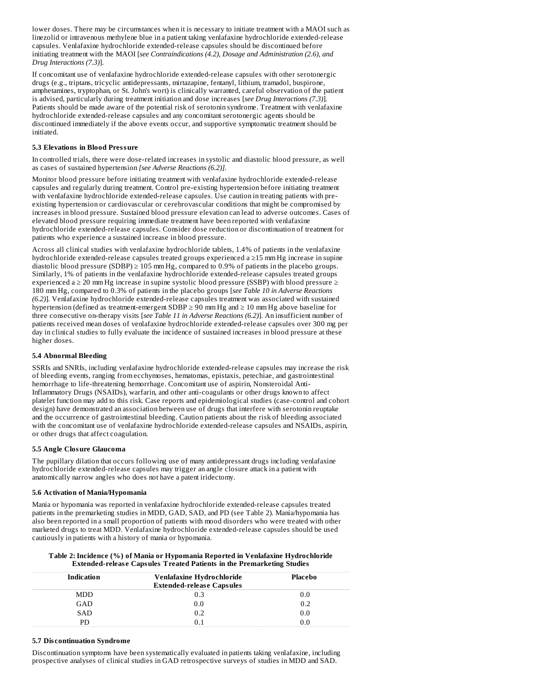lower doses. There may be circumstances when it is necessary to initiate treatment with a MAOI such as linezolid or intravenous methylene blue in a patient taking venlafaxine hydrochloride extended-release capsules. Venlafaxine hydrochloride extended-release capsules should be discontinued before initiating treatment with the MAOI [*see Contraindications (4.2), Dosage and Administration (2.6), and Drug Interactions (7.3)*].

If concomitant use of venlafaxine hydrochloride extended-release capsules with other serotonergic drugs (e.g., triptans, tricyclic antidepressants, mirtazapine, fentanyl, lithium, tramadol, buspirone, amphetamines, tryptophan, or St. John's wort) is clinically warranted, careful observation of the patient is advised, particularly during treatment initiation and dose increases [*see Drug Interactions (7.3)*]. Patients should be made aware of the potential risk of serotonin syndrome. Treatment with venlafaxine hydrochloride extended-release capsules and any concomitant serotonergic agents should be discontinued immediately if the above events occur, and supportive symptomatic treatment should be initiated.

## **5.3 Elevations in Blood Pressure**

In controlled trials, there were dose-related increases in systolic and diastolic blood pressure, as well as cases of sustained hypertension *[see Adverse Reactions (6.2)].*

Monitor blood pressure before initiating treatment with venlafaxine hydrochloride extended-release capsules and regularly during treatment. Control pre-existing hypertension before initiating treatment with venlafaxine hydrochloride extended-release capsules. Use caution in treating patients with preexisting hypertension or cardiovascular or cerebrovascular conditions that might be compromised by increases in blood pressure. Sustained blood pressure elevation can lead to adverse outcomes. Cases of elevated blood pressure requiring immediate treatment have been reported with venlafaxine hydrochloride extended-release capsules. Consider dose reduction or discontinuation of treatment for patients who experience a sustained increase in blood pressure.

Across all clinical studies with venlafaxine hydrochloride tablets, 1.4% of patients in the venlafaxine hydrochloride extended-release capsules treated groups experienced a ≥15 mm Hg increase in supine diastolic blood pressure  $(SDBP) \ge 105$  mm Hg, compared to 0.9% of patients in the placebo groups. Similarly, 1% of patients in the venlafaxine hydrochloride extended-release capsules treated groups experienced a ≥ 20 mm Hg increase in supine systolic blood pressure (SSBP) with blood pressure ≥ 180 mm Hg, compared to 0.3% of patients in the placebo groups [*see Table 10 in Adverse Reactions (6.2)*]. Venlafaxine hydrochloride extended-release capsules treatment was associated with sustained hypertension (defined as treatment-emergent SDBP  $\geq$  90 mm Hg and  $\geq$  10 mm Hg above baseline for three consecutive on-therapy visits [*see Table 11 in Adverse Reactions (6.2)*]. An insufficient number of patients received mean doses of venlafaxine hydrochloride extended-release capsules over 300 mg per day in clinical studies to fully evaluate the incidence of sustained increases in blood pressure at these higher doses.

## **5.4 Abnormal Bleeding**

SSRIs and SNRIs, including venlafaxine hydrochloride extended-release capsules may increase the risk of bleeding events, ranging from ecchymoses, hematomas, epistaxis, petechiae, and gastrointestinal hemorrhage to life-threatening hemorrhage. Concomitant use of aspirin, Nonsteroidal Anti-Inflammatory Drugs (NSAIDs), warfarin, and other anti-coagulants or other drugs known to affect platelet function may add to this risk. Case reports and epidemiological studies (case-control and cohort design) have demonstrated an association between use of drugs that interfere with serotonin reuptake and the occurrence of gastrointestinal bleeding. Caution patients about the risk of bleeding associated with the concomitant use of venlafaxine hydrochloride extended-release capsules and NSAIDs, aspirin, or other drugs that affect coagulation.

#### **5.5 Angle Closure Glaucoma**

The pupillary dilation that occurs following use of many antidepressant drugs including venlafaxine hydrochloride extended-release capsules may trigger an angle closure attack in a patient with anatomically narrow angles who does not have a patent iridectomy.

## **5.6 Activation of Mania/Hypomania**

Mania or hypomania was reported in venlafaxine hydrochloride extended-release capsules treated patients in the premarketing studies in MDD, GAD, SAD, and PD (see Table 2). Mania/hypomania has also been reported in a small proportion of patients with mood disorders who were treated with other marketed drugs to treat MDD. Venlafaxine hydrochloride extended-release capsules should be used cautiously in patients with a history of mania or hypomania.

**Table 2:Incidence (%) of Mania or Hypomania Reported in Venlafaxine Hydrochloride Extended-releas e Capsules Treated Patients in the Premarketing Studies**

| <b>Indication</b> | Venlafaxine Hydrochloride<br><b>Extended-release Capsules</b> | Placebo |
|-------------------|---------------------------------------------------------------|---------|
| <b>MDD</b>        | 0.3                                                           | 0.0     |
| GAD               | 0.0                                                           | 0.2     |
| <b>SAD</b>        | 0.2                                                           | 0.0     |
| PD                |                                                               | 0.0     |

## **5.7 Dis continuation Syndrome**

Discontinuation symptoms have been systematically evaluated in patients taking venlafaxine, including prospective analyses of clinical studies in GAD retrospective surveys of studies in MDD and SAD.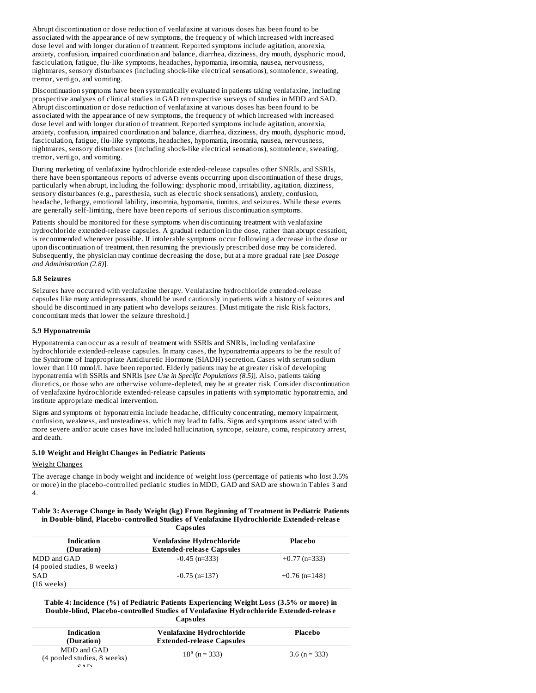Abrupt discontinuation or dose reduction of venlafaxine at various doses has been found to be associated with the appearance of new symptoms, the frequency of which increased with increased dose level and with longer duration of treatment. Reported symptoms include agitation, anorexia, anxiety, confusion, impaired coordination and balance, diarrhea, dizziness, dry mouth, dysphoric mood, fasciculation, fatigue, flu-like symptoms, headaches, hypomania, insomnia, nausea, nervousness, nightmares, sensory disturbances (including shock-like electrical sensations), somnolence, sweating, tremor, vertigo, and vomiting.

Discontinuation symptoms have been systematically evaluated in patients taking venlafaxine, including prospective analyses of clinical studies in GAD retrospective surveys of studies in MDD and SAD. Abrupt discontinuation or dose reduction of venlafaxine at various doses has been found to be associated with the appearance of new symptoms, the frequency of which increased with increased dose level and with longer duration of treatment. Reported symptoms include agitation, anorexia, anxiety, confusion, impaired coordination and balance, diarrhea, dizziness, dry mouth, dysphoric mood, fasciculation, fatigue, flu-like symptoms, headaches, hypomania, insomnia, nausea, nervousness, nightmares, sensory disturbances (including shock-like electrical sensations), somnolence, sweating, tremor, vertigo, and vomiting.

During marketing of venlafaxine hydrochloride extended-release capsules other SNRIs, and SSRIs, there have been spontaneous reports of adverse events occurring upon discontinuation of these drugs, particularly when abrupt, including the following: dysphoric mood, irritability, agitation, dizziness, sensory disturbances (e.g., paresthesia, such as electric shock sensations), anxiety, confusion, headache, lethargy, emotional lability, insomnia, hypomania, tinnitus, and seizures. While these events are generally self-limiting, there have been reports of serious discontinuation symptoms.

Patients should be monitored for these symptoms when discontinuing treatment with venlafaxine hydrochloride extended-release capsules. A gradual reduction in the dose, rather than abrupt cessation, is recommended whenever possible. If intolerable symptoms occur following a decrease in the dose or upon discontinuation of treatment, then resuming the previously prescribed dose may be considered. Subsequently, the physician may continue decreasing the dose, but at a more gradual rate [*see Dosage and Administration (2.8)*].

#### **5.8 Seizures**

Seizures have occurred with venlafaxine therapy. Venlafaxine hydrochloride extended-release capsules like many antidepressants, should be used cautiously in patients with a history of seizures and should be discontinued in any patient who develops seizures. [Must mitigate the risk: Risk factors, concomitant meds that lower the seizure threshold.]

#### **5.9 Hyponatremia**

Hyponatremia can occur as a result of treatment with SSRIs and SNRIs, including venlafaxine hydrochloride extended-release capsules. In many cases, the hyponatremia appears to be the result of the Syndrome of Inappropriate Antidiuretic Hormone (SIADH) secretion. Cases with serum sodium lower than 110 mmol/L have been reported. Elderly patients may be at greater risk of developing hyponatremia with SSRIs and SNRIs [*see Use in Specific Populations (8.5)*]. Also, patients taking diuretics, or those who are otherwise volume-depleted, may be at greater risk. Consider discontinuation of venlafaxine hydrochloride extended-release capsules in patients with symptomatic hyponatremia, and institute appropriate medical intervention.

Signs and symptoms of hyponatremia include headache, difficulty concentrating, memory impairment, confusion, weakness, and unsteadiness, which may lead to falls. Signs and symptoms associated with more severe and/or acute cases have included hallucination, syncope, seizure, coma, respiratory arrest, and death.

## **5.10 Weight and Height Changes in Pediatric Patients**

#### Weight Changes

The average change in body weight and incidence of weight loss (percentage of patients who lost 3.5% or more) in the placebo-controlled pediatric studies in MDD, GAD and SAD are shown in Tables 3 and 4.

#### **Table 3: Average Change in Body Weight (kg) From Beginning of Treatment in Pediatric Patients in Double-blind, Placebo-controlled Studies of Venlafaxine Hydrochloride Extended-releas e Capsules**

|                             | <b>Cupoure</b>                   |                 |  |
|-----------------------------|----------------------------------|-----------------|--|
| <b>Indication</b>           | Venlafaxine Hydrochloride        | Placebo         |  |
| (Duration)                  | <b>Extended-release Capsules</b> |                 |  |
| MDD and GAD                 | $-0.45$ (n=333)                  | $+0.77$ (n=333) |  |
| (4 pooled studies, 8 weeks) |                                  |                 |  |
| SAD                         | $-0.75$ (n=137)                  | $+0.76$ (n=148) |  |
| $(16$ weeks)                |                                  |                 |  |

**Table 4:Incidence (%) of Pediatric Patients Experiencing Weight Loss (3.5% or more) in Double-blind, Placebo-controlled Studies of Venlafaxine Hydrochloride Extended-releas e Capsules**

| <b>Indication</b>                                          | Venlafaxine Hydrochloride        | Placebo       |
|------------------------------------------------------------|----------------------------------|---------------|
| (Duration)                                                 | <b>Extended-release Capsules</b> |               |
| MDD and GAD<br>(4 pooled studies, 8 weeks)<br>$C \wedge D$ | $18a$ (n = 333)                  | 3.6 (n = 333) |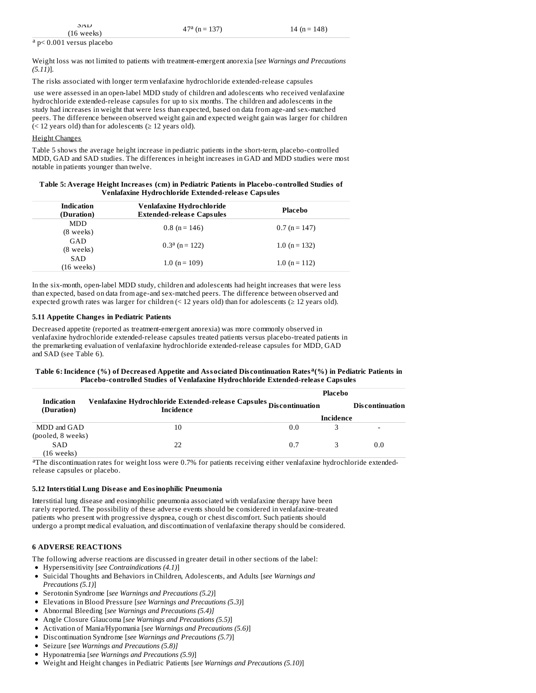| שאכ<br>$(16$ weeks) | $47a$ (n = 137) | 14 ( $n = 148$ ) |
|---------------------|-----------------|------------------|
|---------------------|-----------------|------------------|

<sup>a</sup> p< 0.001 versus placebo

Weight loss was not limited to patients with treatment-emergent anorexia [*see Warnings and Precautions (5.11)*].

The risks associated with longer term venlafaxine hydrochloride extended-release capsules

use were assessed in an open-label MDD study of children and adolescents who received venlafaxine hydrochloride extended-release capsules for up to six months. The children and adolescents in the study had increases in weight that were less than expected, based on data from age-and sex-matched peers. The difference between observed weight gain and expected weight gain was larger for children  $($  < 12 years old) than for adolescents  $($   $\geq$  12 years old).

## Height Changes

Table 5 shows the average height increase in pediatric patients in the short-term, placebo-controlled MDD, GAD and SAD studies. The differences in height increases in GAD and MDD studies were most notable in patients younger than twelve.

| Table 5: Average Height Increases (cm) in Pediatric Patients in Placebo-controlled Studies of |
|-----------------------------------------------------------------------------------------------|
| Venlafaxine Hydrochloride Extended-release Capsules                                           |

| <b>Indication</b><br>(Duration) | Venlafaxine Hydrochloride<br><b>Extended-release Capsules</b> | Placebo           |
|---------------------------------|---------------------------------------------------------------|-------------------|
| <b>MDD</b><br>$(8$ weeks)       | $0.8$ (n = 146)                                               | $0.7$ (n = 147)   |
| GAD<br>(8 weeks)                | $0.3a$ (n = 122)                                              | $1.0$ (n = 132)   |
| <b>SAD</b><br>(16 weeks)        | 1.0 ( $n = 109$ )                                             | 1.0 ( $n = 112$ ) |

In the six-month, open-label MDD study, children and adolescents had height increases that were less than expected, based on data from age-and sex-matched peers. The difference between observed and expected growth rates was larger for children (< 12 years old) than for adolescents ( $\geq$  12 years old).

#### **5.11 Appetite Changes in Pediatric Patients**

Decreased appetite (reported as treatment-emergent anorexia) was more commonly observed in venlafaxine hydrochloride extended-release capsules treated patients versus placebo-treated patients in the premarketing evaluation of venlafaxine hydrochloride extended-release capsules for MDD, GAD and SAD (see Table 6).

## Table 6: Incidence (%) of Decreased Appetite and Associated Discontinuation Rates<sup>a</sup>(%) in Pediatric Patients in **Placebo-controlled Studies of Venlafaxine Hydrochloride Extended-releas e Capsules**

|                          |                                                                                  | Placebo |                  |                        |
|--------------------------|----------------------------------------------------------------------------------|---------|------------------|------------------------|
| Indication<br>(Duration) | Venlafaxine Hydrochloride Extended-release Capsules Discontinuation<br>Incidence |         |                  | <b>Discontinuation</b> |
|                          |                                                                                  |         | <b>Incidence</b> |                        |
| MDD and GAD              | 10                                                                               | 0.0     |                  | -                      |
| (pooled, 8 weeks)        |                                                                                  |         |                  |                        |
| SAD                      | 22                                                                               | 0.7     |                  | 0.0                    |
| (16 weeks)               |                                                                                  |         |                  |                        |

<sup>a</sup>The discontinuation rates for weight loss were 0.7% for patients receiving either venlafaxine hydrochloride extendedrelease capsules or placebo.

#### **5.12 Interstitial Lung Dis eas e and Eosinophilic Pneumonia**

Interstitial lung disease and eosinophilic pneumonia associated with venlafaxine therapy have been rarely reported. The possibility of these adverse events should be considered in venlafaxine-treated patients who present with progressive dyspnea, cough or chest discomfort. Such patients should undergo a prompt medical evaluation, and discontinuation of venlafaxine therapy should be considered.

## **6 ADVERSE REACTIONS**

The following adverse reactions are discussed in greater detail in other sections of the label:

- Hypersensitivity [*see Contraindications (4.1)*]
- Suicidal Thoughts and Behaviors in Children, Adolescents, and Adults [*see Warnings and Precautions (5.1)*]
- Serotonin Syndrome [*see Warnings and Precautions (5.2)*]
- Elevations in Blood Pressure [*see Warnings and Precautions (5.3)*]
- Abnormal Bleeding [*see Warnings and Precautions (5.4)]*
- Angle Closure Glaucoma [*see Warnings and Precautions (5.5)*]
- Activation of Mania/Hypomania [*see Warnings and Precautions (5.6)*]
- Discontinuation Syndrome [*see Warnings and Precautions (5.7)*]  $\bullet$
- Seizure [*see Warnings and Precautions (5.8)]*
- Hyponatremia [*see Warnings and Precautions (5.9)*]
- Weight and Height changes in Pediatric Patients [*see Warnings and Precautions (5.10)*]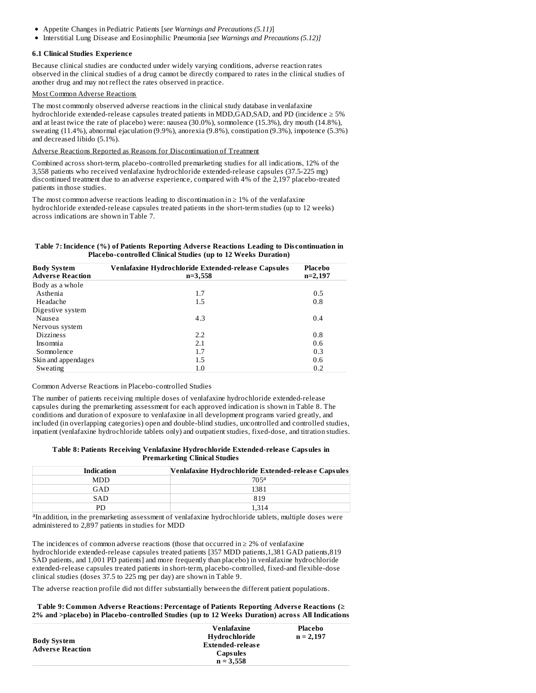- Appetite Changes in Pediatric Patients [*see Warnings and Precautions (5.11)*]
- Interstitial Lung Disease and Eosinophilic Pneumonia [*see Warnings and Precautions (5.12)]*

#### **6.1 Clinical Studies Experience**

Because clinical studies are conducted under widely varying conditions, adverse reaction rates observed in the clinical studies of a drug cannot be directly compared to rates in the clinical studies of another drug and may not reflect the rates observed in practice.

#### Most Common Adverse Reactions

The most commonly observed adverse reactions in the clinical study database in venlafaxine hydrochloride extended-release capsules treated patients in MDD,GAD,SAD, and PD (incidence  $\geq$  5% and at least twice the rate of placebo) were: nausea (30.0%), somnolence (15.3%), dry mouth (14.8%), sweating (11.4%), abnormal ejaculation (9.9%), anorexia (9.8%), constipation (9.3%), impotence (5.3%) and decreased libido (5.1%).

#### Adverse Reactions Reported as Reasons for Discontinuation of Treatment

Combined across short-term, placebo-controlled premarketing studies for all indications, 12% of the 3,558 patients who received venlafaxine hydrochloride extended-release capsules (37.5-225 mg) discontinued treatment due to an adverse experience, compared with 4% of the 2,197 placebo-treated patients in those studies.

The most common adverse reactions leading to discontinuation in  $\geq 1\%$  of the venlafaxine hydrochloride extended-release capsules treated patients in the short-term studies (up to 12 weeks) across indications are shown in Table 7.

#### **Table 7:Incidence (%) of Patients Reporting Advers e Reactions Leading to Dis continuation in Placebo-controlled Clinical Studies (up to 12 Weeks Duration)**

| <b>Body System</b><br><b>Adverse Reaction</b> | Venlafaxine Hydrochloride Extended-release Capsules<br>$n=3,558$ | Placebo<br>$n=2,197$ |
|-----------------------------------------------|------------------------------------------------------------------|----------------------|
| Body as a whole                               |                                                                  |                      |
| Asthenia                                      | 1.7                                                              | 0.5                  |
| Headache                                      | 1.5                                                              | 0.8                  |
| Digestive system                              |                                                                  |                      |
| Nausea                                        | 4.3                                                              | 0.4                  |
| Nervous system                                |                                                                  |                      |
| <b>Dizziness</b>                              | 2.2                                                              | 0.8                  |
| Insomnia                                      | 2.1                                                              | 0.6                  |
| Sommolence                                    | 1.7                                                              | 0.3                  |
| Skin and appendages                           | 1.5                                                              | 0.6                  |
| Sweating                                      | 1.0                                                              | 0.2                  |

Common Adverse Reactions in Placebo-controlled Studies

The number of patients receiving multiple doses of venlafaxine hydrochloride extended-release capsules during the premarketing assessment for each approved indication is shown in Table 8. The conditions and duration of exposure to venlafaxine in all development programs varied greatly, and included (in overlapping categories) open and double-blind studies, uncontrolled and controlled studies, inpatient (venlafaxine hydrochloride tablets only) and outpatient studies, fixed-dose, and titration studies.

#### **Table 8: Patients Receiving Venlafaxine Hydrochloride Extended-releas e Capsules in Premarketing Clinical Studies**

| <b>Indication</b> | Venlafaxine Hydrochloride Extended-release Capsules |
|-------------------|-----------------------------------------------------|
| MDD               | 70.5 <sup>a</sup>                                   |
| GAD               | 1381                                                |
| SAD               | 819                                                 |
| PD                | 1.314                                               |

<sup>a</sup>In addition, in the premarketing assessment of venlafaxine hydrochloride tablets, multiple doses were administered to 2,897 patients in studies for MDD

The incidences of common adverse reactions (those that occurred in  $\geq 2\%$  of venlafaxine hydrochloride extended-release capsules treated patients [357 MDD patients,1,381 GAD patients,819 SAD patients, and 1,001 PD patients] and more frequently than placebo) in venlafaxine hydrochloride extended-release capsules treated patients in short-term, placebo-controlled, fixed-and flexible-dose clinical studies (doses 37.5 to 225 mg per day) are shown in Table 9.

The adverse reaction profile did not differ substantially between the different patient populations.

#### **Table 9: Common Advers e Reactions: Percentage of Patients Reporting Advers e Reactions (≥ 2% and >placebo) in Placebo-controlled Studies (up to 12 Weeks Duration) across All Indications**

|                                               | Venlafaxine      | Placebo     |
|-----------------------------------------------|------------------|-------------|
|                                               | Hydrochloride    | $n = 2,197$ |
| <b>Body System</b><br><b>Adverse Reaction</b> | Extended-release |             |
|                                               | Capsules         |             |
|                                               | $n = 3.558$      |             |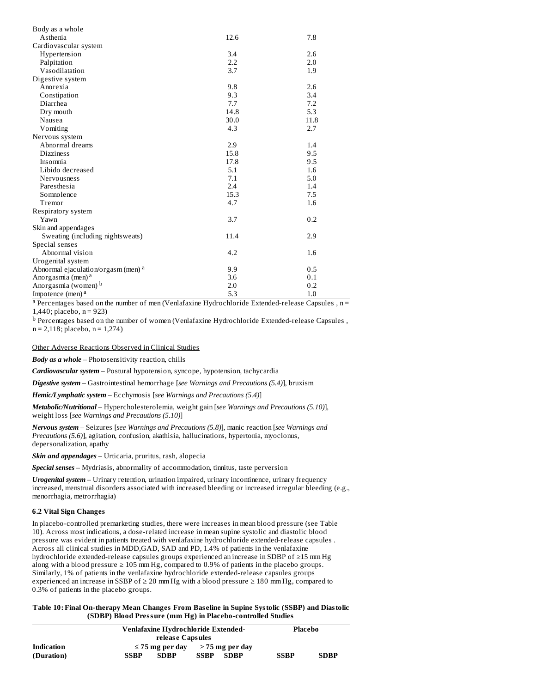| Body as a whole                     |      |      |
|-------------------------------------|------|------|
| Asthenia                            | 12.6 | 7.8  |
| Cardiovascular system               |      |      |
| Hypertension                        | 3.4  | 2.6  |
| Palpitation                         | 2.2  | 2.0  |
| Vasodilatation                      | 3.7  | 1.9  |
| Digestive system                    |      |      |
| Anorexia                            | 9.8  | 2.6  |
| Constipation                        | 9.3  | 3.4  |
| Diarrhea                            | 7.7  | 7.2  |
| Dry mouth                           | 14.8 | 5.3  |
| Nausea                              | 30.0 | 11.8 |
| Vomiting                            | 4.3  | 2.7  |
| Nervous system                      |      |      |
| Abnormal dreams                     | 2.9  | 1.4  |
| <b>Dizziness</b>                    | 15.8 | 9.5  |
| Insomnia                            | 17.8 | 9.5  |
| Libido decreased                    | 5.1  | 1.6  |
| <b>Nervousness</b>                  | 7.1  | 5.0  |
| Paresthesia                         | 2.4  | 1.4  |
| Somnolence                          | 15.3 | 7.5  |
| Tremor                              | 4.7  | 1.6  |
| Respiratory system                  |      |      |
| Yawn                                | 3.7  | 0.2  |
| Skin and appendages                 |      |      |
| Sweating (including nightsweats)    | 11.4 | 2.9  |
| Special senses                      |      |      |
| Abnormal vision                     | 4.2  | 1.6  |
| Urogenital system                   |      |      |
| Abnormal ejaculation/orgasm (men) a | 9.9  | 0.5  |
| Anorgasmia (men) <sup>a</sup>       | 3.6  | 0.1  |
| Anorgasmia (women) b                | 2.0  | 0.2  |
| Impotence (men) <sup>a</sup>        | 5.3  | 1.0  |

<sup>a</sup> Percentages based on the number of men (Venlafaxine Hydrochloride Extended-release Capsules,  $n =$ 1,440; placebo, n = 923)

<sup>b</sup> Percentages based on the number of women (Venlafaxine Hydrochloride Extended-release Capsules,  $n = 2,118$ ; placebo,  $n = 1,274$ )

## Other Adverse Reactions Observed in Clinical Studies

*Body as a whole* – Photosensitivity reaction, chills

*Cardiovascular system* – Postural hypotension, syncope, hypotension, tachycardia

*Digestive system* – Gastrointestinal hemorrhage [*see Warnings and Precautions (5.4)*], bruxism

*Hemic/Lymphatic system* – Ecchymosis [*see Warnings and Precautions (5.4)*]

*Metabolic/Nutritional* – Hypercholesterolemia, weight gain [*see Warnings and Precautions (5.10)*], weight loss [*see Warnings and Precautions (5.10)*]

*Nervous system* – Seizures [*see Warnings and Precautions (5.8)*], manic reaction [*see Warnings and Precautions (5.6)*], agitation, confusion, akathisia, hallucinations, hypertonia, myoclonus, depersonalization, apathy

*Skin and appendages* – Urticaria, pruritus, rash, alopecia

*Special senses* – Mydriasis, abnormality of accommodation, tinnitus, taste perversion

*Urogenital system* – Urinary retention, urination impaired, urinary incontinence, urinary frequency increased, menstrual disorders associated with increased bleeding or increased irregular bleeding (e.g., menorrhagia, metrorrhagia)

#### **6.2 Vital Sign Changes**

In placebo-controlled premarketing studies, there were increases in mean blood pressure (see Table 10). Across most indications, a dose-related increase in mean supine systolic and diastolic blood pressure was evident in patients treated with venlafaxine hydrochloride extended-release capsules . Across all clinical studies in MDD,GAD, SAD and PD, 1.4% of patients in the venlafaxine hydrochloride extended-release capsules groups experienced an increase in SDBP of ≥15 mm Hg along with a blood pressure  $\geq 105$  mm Hg, compared to 0.9% of patients in the placebo groups. Similarly, 1% of patients in the venlafaxine hydrochloride extended-release capsules groups experienced an increase in SSBP of ≥ 20 mm Hg with a blood pressure ≥ 180 mm Hg, compared to 0.3% of patients in the placebo groups.

**Table 10: Final On-therapy Mean Changes From Bas eline in Supine Systolic (SSBP) and Diastolic (SDBP) Blood Pressure (mm Hg) in Placebo-controlled Studies**

|                  | Venlafaxine Hydrochloride Extended- |                                        |             |             | Placebo     |             |
|------------------|-------------------------------------|----------------------------------------|-------------|-------------|-------------|-------------|
| release Capsules |                                     |                                        |             |             |             |             |
| Indication       |                                     | $\leq$ 75 mg per day $>$ 75 mg per day |             |             |             |             |
| (Duration)       | <b>SSBP</b>                         | <b>SDBP</b>                            | <b>SSBP</b> | <b>SDBP</b> | <b>SSBP</b> | <b>SDBP</b> |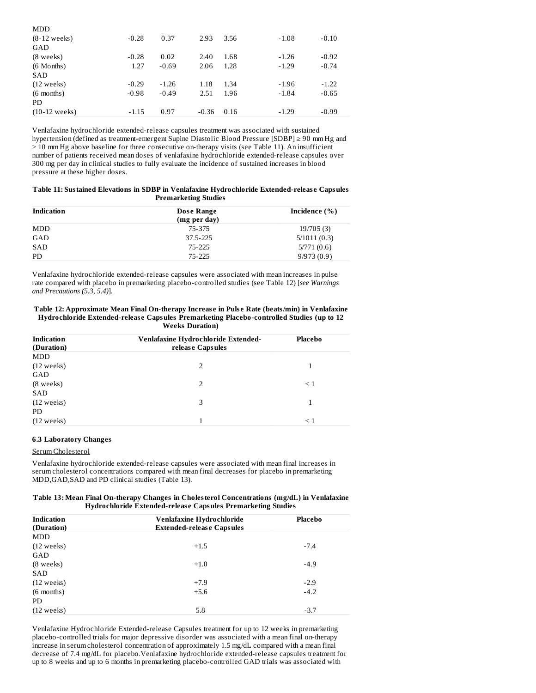| <b>MDD</b>           |         |         |         |      |         |         |
|----------------------|---------|---------|---------|------|---------|---------|
| $(8-12$ weeks)       | $-0.28$ | 0.37    | 2.93    | 3.56 | $-1.08$ | $-0.10$ |
| GAD                  |         |         |         |      |         |         |
| $(8$ weeks)          | $-0.28$ | 0.02    | 2.40    | 1.68 | $-1.26$ | $-0.92$ |
| (6 Months)           | 1.27    | $-0.69$ | 2.06    | 1.28 | $-1.29$ | $-0.74$ |
| SAD                  |         |         |         |      |         |         |
| $(12 \text{ weeks})$ | $-0.29$ | $-1.26$ | 1.18    | 1.34 | $-1.96$ | $-1.22$ |
| $(6$ months)         | $-0.98$ | $-0.49$ | 2.51    | 1.96 | $-1.84$ | $-0.65$ |
| PD.                  |         |         |         |      |         |         |
| $(10-12$ weeks)      | $-1.15$ | 0.97    | $-0.36$ | 0.16 | $-1.29$ | $-0.99$ |
|                      |         |         |         |      |         |         |

Venlafaxine hydrochloride extended-release capsules treatment was associated with sustained hypertension (defined as treatment-emergent Supine Diastolic Blood Pressure [SDBP] ≥ 90 mm Hg and  $\geq$  10 mm Hg above baseline for three consecutive on-therapy visits (see Table 11). An insufficient number of patients received mean doses of venlafaxine hydrochloride extended-release capsules over 300 mg per day in clinical studies to fully evaluate the incidence of sustained increases in blood pressure at these higher doses.

#### **Table 11: Sustained Elevations in SDBP in Venlafaxine Hydrochloride Extended-releas e Capsules Premarketing Studies**

| Indication | <b>Dose Range</b> | Incidence (%) |
|------------|-------------------|---------------|
|            | (mg per day)      |               |
| MDD        | 75-375            | 19/705(3)     |
| GAD        | 37.5-225          | 5/1011(0.3)   |
| SAD        | 75-225            | 5/771(0.6)    |
| PD         | 75-225            | 9/973(0.9)    |

Venlafaxine hydrochloride extended-release capsules were associated with mean increases in pulse rate compared with placebo in premarketing placebo-controlled studies (see Table 12) [*see Warnings and Precautions (5.3, 5.4)*].

#### **Table 12: Approximate Mean Final On-therapy Increas e in Puls e Rate (beats/min) in Venlafaxine Hydrochloride Extended-releas e Capsules Premarketing Placebo-controlled Studies (up to 12 Weeks Duration)**

| <b>Indication</b><br>Venlafaxine Hydrochloride Extended-<br>release Capsules<br>(Duration) |               | Placebo  |  |  |
|--------------------------------------------------------------------------------------------|---------------|----------|--|--|
| <b>MDD</b>                                                                                 |               |          |  |  |
| $(12 \text{ weeks})$                                                                       | 2             |          |  |  |
| GAD                                                                                        |               |          |  |  |
| (8 weeks)                                                                                  | $\mathcal{D}$ | $\leq 1$ |  |  |
| SAD                                                                                        |               |          |  |  |
| $(12$ weeks)                                                                               | 3             |          |  |  |
| PD                                                                                         |               |          |  |  |
| $(12 \text{ weeks})$                                                                       |               | $\leq 1$ |  |  |

## **6.3 Laboratory Changes**

## Serum Cholesterol

Venlafaxine hydrochloride extended-release capsules were associated with mean final increases in serum cholesterol concentrations compared with mean final decreases for placebo in premarketing MDD,GAD,SAD and PD clinical studies (Table 13).

## **Table 13: Mean Final On-therapy Changes in Cholesterol Concentrations (mg/dL) in Venlafaxine Hydrochloride Extended-releas e Capsules Premarketing Studies**

| <b>Indication</b><br>Venlafaxine Hydrochloride<br><b>Extended-release Capsules</b><br>(Duration) |        | Placebo |
|--------------------------------------------------------------------------------------------------|--------|---------|
| <b>MDD</b>                                                                                       |        |         |
| $(12 \text{ weeks})$                                                                             | $+1.5$ | $-7.4$  |
| GAD                                                                                              |        |         |
| (8 weeks)                                                                                        | $+1.0$ | $-4.9$  |
| SAD                                                                                              |        |         |
| $(12$ weeks)                                                                                     | $+7.9$ | $-2.9$  |
| $(6$ months)                                                                                     | $+5.6$ | $-4.2$  |
| <b>PD</b>                                                                                        |        |         |
| $(12$ weeks)                                                                                     | 5.8    | $-3.7$  |

Venlafaxine Hydrochloride Extended-release Capsules treatment for up to 12 weeks in premarketing placebo-controlled trials for major depressive disorder was associated with a mean final on-therapy increase in serum cholesterol concentration of approximately 1.5 mg/dL compared with a mean final decrease of 7.4 mg/dL for placebo.Venlafaxine hydrochloride extended-release capsules treatment for up to 8 weeks and up to 6 months in premarketing placebo-controlled GAD trials was associated with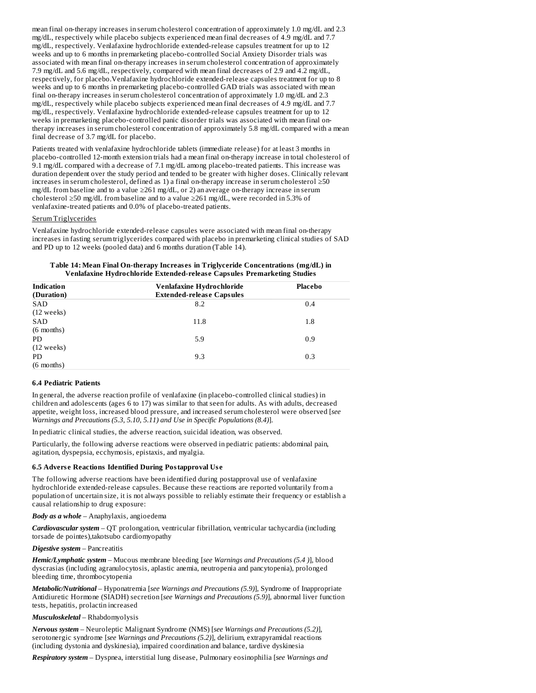mean final on-therapy increases in serum cholesterol concentration of approximately 1.0 mg/dL and 2.3 mg/dL, respectively while placebo subjects experienced mean final decreases of 4.9 mg/dL and 7.7 mg/dL, respectively. Venlafaxine hydrochloride extended-release capsules treatment for up to 12 weeks and up to 6 months in premarketing placebo-controlled Social Anxiety Disorder trials was associated with mean final on-therapy increases in serum cholesterol concentration of approximately 7.9 mg/dL and 5.6 mg/dL, respectively, compared with mean final decreases of 2.9 and 4.2 mg/dL, respectively, for placebo.Venlafaxine hydrochloride extended-release capsules treatment for up to 8 weeks and up to 6 months in premarketing placebo-controlled GAD trials was associated with mean final on-therapy increases in serum cholesterol concentration of approximately 1.0 mg/dL and 2.3 mg/dL, respectively while placebo subjects experienced mean final decreases of 4.9 mg/dL and 7.7 mg/dL, respectively. Venlafaxine hydrochloride extended-release capsules treatment for up to 12 weeks in premarketing placebo-controlled panic disorder trials was associated with mean final ontherapy increases in serum cholesterol concentration of approximately 5.8 mg/dL compared with a mean final decrease of 3.7 mg/dL for placebo.

Patients treated with venlafaxine hydrochloride tablets (immediate release) for at least 3 months in placebo-controlled 12-month extension trials had a mean final on-therapy increase in total cholesterol of 9.1 mg/dL compared with a decrease of 7.1 mg/dL among placebo-treated patients. This increase was duration dependent over the study period and tended to be greater with higher doses. Clinically relevant increases in serum cholesterol, defined as 1) a final on-therapy increase in serum cholesterol ≥50 mg/dL from baseline and to a value ≥261 mg/dL, or 2) an average on-therapy increase in serum cholesterol ≥50 mg/dL from baseline and to a value ≥261 mg/dL, were recorded in 5.3% of venlafaxine-treated patients and 0.0% of placebo-treated patients.

#### Serum Triglycerides

Venlafaxine hydrochloride extended-release capsules were associated with mean final on-therapy increases in fasting serum triglycerides compared with placebo in premarketing clinical studies of SAD and PD up to 12 weeks (pooled data) and 6 months duration (Table 14).

| Table 14: Mean Final On-therapy Increases in Triglyceride Concentrations (mg/dL) in |  |
|-------------------------------------------------------------------------------------|--|
| Venlafaxine Hydrochloride Extended-release Capsules Premarketing Studies            |  |

| <b>Indication</b><br>(Duration) | Venlafaxine Hydrochloride<br><b>Extended-release Capsules</b> | Placebo |
|---------------------------------|---------------------------------------------------------------|---------|
| SAD                             | 8.2                                                           | 0.4     |
| $(12$ weeks)                    |                                                               |         |
| SAD                             | 11.8                                                          | 1.8     |
| $(6$ months)                    |                                                               |         |
| PD                              | 5.9                                                           | 0.9     |
| $(12$ weeks)                    |                                                               |         |
| PD                              | 9.3                                                           | 0.3     |
| $(6$ months)                    |                                                               |         |

## **6.4 Pediatric Patients**

In general, the adverse reaction profile of venlafaxine (in placebo-controlled clinical studies) in children and adolescents (ages 6 to 17) was similar to that seen for adults. As with adults, decreased appetite, weight loss, increased blood pressure, and increased serum cholesterol were observed [*see Warnings and Precautions (5.3, 5.10, 5.11) and Use in Specific Populations (8.4)*].

In pediatric clinical studies, the adverse reaction, suicidal ideation, was observed.

Particularly, the following adverse reactions were observed in pediatric patients: abdominal pain, agitation, dyspepsia, ecchymosis, epistaxis, and myalgia.

## **6.5 Advers e Reactions Identified During Postapproval Us e**

The following adverse reactions have been identified during postapproval use of venlafaxine hydrochloride extended-release capsules. Because these reactions are reported voluntarily from a population of uncertain size, it is not always possible to reliably estimate their frequency or establish a causal relationship to drug exposure:

*Body as a whole* – Anaphylaxis, angioedema

*Cardiovascular system* – QT prolongation, ventricular fibrillation, ventricular tachycardia (including torsade de pointes),takotsubo cardiomyopathy

*Digestive system* – Pancreatitis

*Hemic/Lymphatic system* – Mucous membrane bleeding [*see Warnings and Precautions (5.4 )*], blood dyscrasias (including agranulocytosis, aplastic anemia, neutropenia and pancytopenia), prolonged bleeding time, thrombocytopenia

*Metabolic/Nutritional* – Hyponatremia [*see Warnings and Precautions (5.9)*], Syndrome of Inappropriate Antidiuretic Hormone (SIADH) secretion [*see Warnings and Precautions (5.9)*], abnormal liver function tests, hepatitis, prolactin increased

#### *Musculoskeletal* – Rhabdomyolysis

*Nervous system* – Neuroleptic Malignant Syndrome (NMS) [*see Warnings and Precautions (5.2)*], serotonergic syndrome [*see Warnings and Precautions (5.2)*], delirium, extrapyramidal reactions (including dystonia and dyskinesia), impaired coordination and balance, tardive dyskinesia

*Respiratory system* – Dyspnea, interstitial lung disease, Pulmonary eosinophilia [*see Warnings and*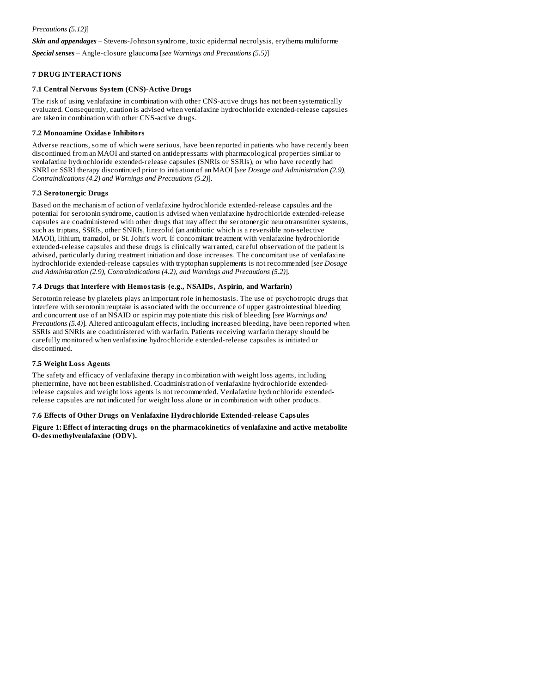## *Precautions (5.12)*]

## *Skin and appendages* – Stevens-Johnson syndrome, toxic epidermal necrolysis, erythema multiforme

*Special senses* – Angle-closure glaucoma [*see Warnings and Precautions (5.5)*]

## **7 DRUG INTERACTIONS**

#### **7.1 Central Nervous System (CNS)-Active Drugs**

The risk of using venlafaxine in combination with other CNS-active drugs has not been systematically evaluated. Consequently, caution is advised when venlafaxine hydrochloride extended-release capsules are taken in combination with other CNS-active drugs.

#### **7.2 Monoamine Oxidas e Inhibitors**

Adverse reactions, some of which were serious, have been reported in patients who have recently been discontinued from an MAOI and started on antidepressants with pharmacological properties similar to venlafaxine hydrochloride extended-release capsules (SNRIs or SSRIs), or who have recently had SNRI or SSRI therapy discontinued prior to initiation of an MAOI [*see Dosage and Administration (2.9), Contraindications (4.2) and Warnings and Precautions (5.2)*].

#### **7.3 Serotonergic Drugs**

Based on the mechanism of action of venlafaxine hydrochloride extended-release capsules and the potential for serotonin syndrome, caution is advised when venlafaxine hydrochloride extended-release capsules are coadministered with other drugs that may affect the serotonergic neurotransmitter systems, such as triptans, SSRIs, other SNRIs, linezolid (an antibiotic which is a reversible non-selective MAOI), lithium, tramadol, or St. John's wort. If concomitant treatment with venlafaxine hydrochloride extended-release capsules and these drugs is clinically warranted, careful observation of the patient is advised, particularly during treatment initiation and dose increases. The concomitant use of venlafaxine hydrochloride extended-release capsules with tryptophan supplements is not recommended [*see Dosage and Administration (2.9), Contraindications (4.2), and Warnings and Precautions (5.2)*].

#### **7.4 Drugs that Interfere with Hemostasis (e.g., NSAIDs, Aspirin, and Warfarin)**

Serotonin release by platelets plays an important role in hemostasis. The use of psychotropic drugs that interfere with serotonin reuptake is associated with the occurrence of upper gastrointestinal bleeding and concurrent use of an NSAID or aspirin may potentiate this risk of bleeding [*see Warnings and Precautions (5.4)*]. Altered anticoagulant effects, including increased bleeding, have been reported when SSRIs and SNRIs are coadministered with warfarin. Patients receiving warfarin therapy should be carefully monitored when venlafaxine hydrochloride extended-release capsules is initiated or discontinued.

#### **7.5 Weight Loss Agents**

The safety and efficacy of venlafaxine therapy in combination with weight loss agents, including phentermine, have not been established. Coadministration of venlafaxine hydrochloride extendedrelease capsules and weight loss agents is not recommended. Venlafaxine hydrochloride extendedrelease capsules are not indicated for weight loss alone or in combination with other products.

#### **7.6 Effects of Other Drugs on Venlafaxine Hydrochloride Extended-releas e Capsules**

**Figure 1: Effect of interacting drugs on the pharmacokinetics of venlafaxine and active metabolite O-desmethylvenlafaxine (ODV).**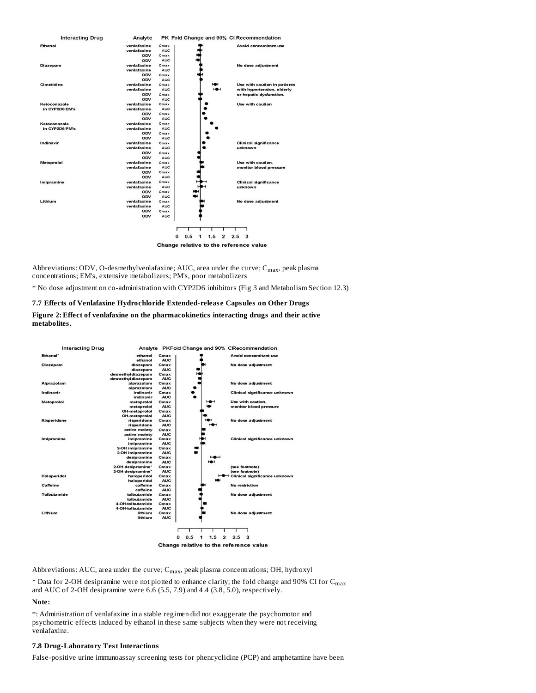

Abbreviations: ODV, O-desmethylvenlafaxine; AUC, area under the curve; C<sub>max</sub>, peak plasma concentrations; EM's, extensive metabolizers; PM's, poor metabolizers

\* No dose adjustment on co-administration with CYP2D6 inhibitors (Fig 3 and Metabolism Section 12.3)

**7.7 Effects of Venlafaxine Hydrochloride Extended-releas e Capsules on Other Drugs Figure 2: Effect of venlafaxine on the pharmacokinetics interacting drugs and their active metabolites.**



Abbreviations: AUC, area under the curve;  $C_{max}$ , peak plasma concentrations; OH, hydroxyl

 $*$  Data for 2-OH desipramine were not plotted to enhance clarity; the fold change and 90% CI for  $C_{\rm max}$ and AUC of 2-OH desipramine were 6.6 (5.5, 7.9) and 4.4 (3.8, 5.0), respectively.

## **Note:**

\*: Administration of venlafaxine in a stable regimen did not exaggerate the psychomotor and psychometric effects induced by ethanol in these same subjects when they were not receiving venlafaxine.

## **7.8 Drug-Laboratory Test Interactions**

False-positive urine immunoassay screening tests for phencyclidine (PCP) and amphetamine have been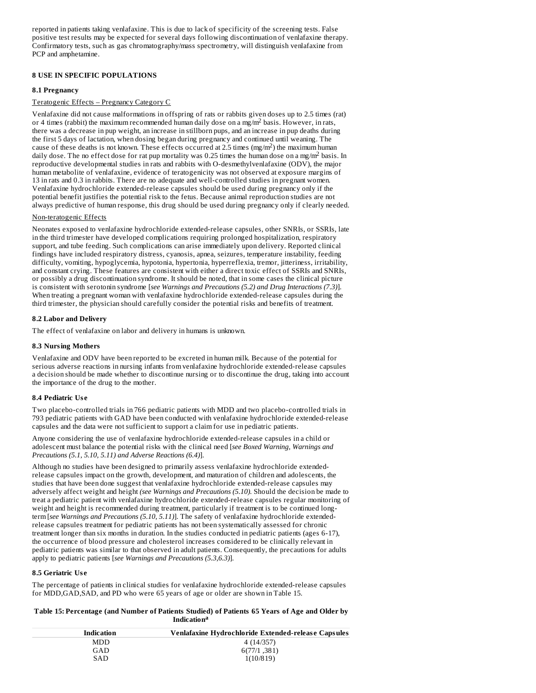reported in patients taking venlafaxine. This is due to lack of specificity of the screening tests. False positive test results may be expected for several days following discontinuation of venlafaxine therapy. Confirmatory tests, such as gas chromatography/mass spectrometry, will distinguish venlafaxine from PCP and amphetamine.

## **8 USE IN SPECIFIC POPULATIONS**

## **8.1 Pregnancy**

## Teratogenic Effects – Pregnancy Category C

Venlafaxine did not cause malformations in offspring of rats or rabbits given doses up to 2.5 times (rat) or 4 times (rabbit) the maximum recommended human daily dose on a mg/m<sup>2</sup> basis. However, in rats, there was a decrease in pup weight, an increase in stillborn pups, and an increase in pup deaths during the first 5 days of lactation, when dosing began during pregnancy and continued until weaning. The cause of these deaths is not known. These effects occurred at 2.5 times  $(mg/m<sup>2</sup>)$  the maximum human daily dose. The no effect dose for rat pup mortality was 0.25 times the human dose on a mg/m<sup>2</sup> basis. In reproductive developmental studies in rats and rabbits with O-desmethylvenlafaxine (ODV), the major human metabolite of venlafaxine, evidence of teratogenicity was not observed at exposure margins of 13 in rats and 0.3 in rabbits. There are no adequate and well-controlled studies in pregnant women. Venlafaxine hydrochloride extended-release capsules should be used during pregnancy only if the potential benefit justifies the potential risk to the fetus. Because animal reproduction studies are not always predictive of human response, this drug should be used during pregnancy only if clearly needed.

## Non-teratogenic Effects

Neonates exposed to venlafaxine hydrochloride extended-release capsules, other SNRIs, or SSRIs, late in the third trimester have developed complications requiring prolonged hospitalization, respiratory support, and tube feeding. Such complications can arise immediately upon delivery. Reported clinical findings have included respiratory distress, cyanosis, apnea, seizures, temperature instability, feeding difficulty, vomiting, hypoglycemia, hypotonia, hypertonia, hyperreflexia, tremor, jitteriness, irritability, and constant crying. These features are consistent with either a direct toxic effect of SSRIs and SNRIs, or possibly a drug discontinuation syndrome. It should be noted, that in some cases the clinical picture is consistent with serotonin syndrome [*see Warnings and Precautions (5.2) and Drug Interactions (7.3)*]. When treating a pregnant woman with venlafaxine hydrochloride extended-release capsules during the third trimester, the physician should carefully consider the potential risks and benefits of treatment.

## **8.2 Labor and Delivery**

The effect of venlafaxine on labor and delivery in humans is unknown.

## **8.3 Nursing Mothers**

Venlafaxine and ODV have been reported to be excreted in human milk. Because of the potential for serious adverse reactions in nursing infants from venlafaxine hydrochloride extended-release capsules a decision should be made whether to discontinue nursing or to discontinue the drug, taking into account the importance of the drug to the mother.

## **8.4 Pediatric Us e**

Two placebo-controlled trials in 766 pediatric patients with MDD and two placebo-controlled trials in 793 pediatric patients with GAD have been conducted with venlafaxine hydrochloride extended-release capsules and the data were not sufficient to support a claim for use in pediatric patients.

Anyone considering the use of venlafaxine hydrochloride extended-release capsules in a child or adolescent must balance the potential risks with the clinical need [*see Boxed Warning, Warnings and Precautions (5.1, 5.10, 5.11) and Adverse Reactions (6.4)*].

Although no studies have been designed to primarily assess venlafaxine hydrochloride extendedrelease capsules impact on the growth, development, and maturation of children and adolescents, the studies that have been done suggest that venlafaxine hydrochloride extended-release capsules may adversely affect weight and height *(see Warnings and Precautions (5.10).* Should the decision be made to treat a pediatric patient with venlafaxine hydrochloride extended-release capsules regular monitoring of weight and height is recommended during treatment, particularly if treatment is to be continued longterm [*see Warnings and Precautions (5.10, 5.11)*]. The safety of venlafaxine hydrochloride extendedrelease capsules treatment for pediatric patients has not been systematically assessed for chronic treatment longer than six months in duration. In the studies conducted in pediatric patients (ages 6-17), the occurrence of blood pressure and cholesterol increases considered to be clinically relevant in pediatric patients was similar to that observed in adult patients. Consequently, the precautions for adults apply to pediatric patients [*see Warnings and Precautions (5.3,6.3)*].

## **8.5 Geriatric Us e**

The percentage of patients in clinical studies for venlafaxine hydrochloride extended-release capsules for MDD,GAD,SAD, and PD who were 65 years of age or older are shown in Table 15.

#### **Table 15: Percentage (and Number of Patients Studied) of Patients 65 Years of Age and Older by Indication a**

| <b>Indication</b> | Venlafaxine Hydrochloride Extended-release Capsules |
|-------------------|-----------------------------------------------------|
| MDD               | 4 (14/357)                                          |
| GAD               | 6(77/1,381)                                         |
| SAD               | 1(10/819)                                           |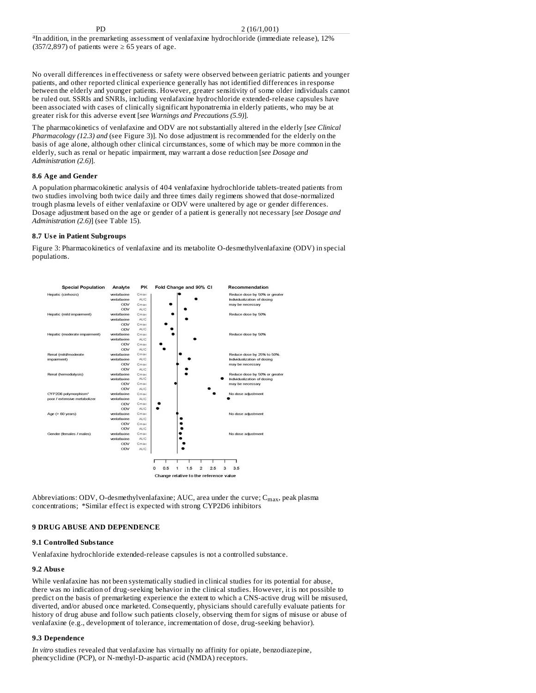#### PD 2 (16/1,001)

<sup>a</sup>In addition, in the premarketing assessment of venlafaxine hydrochloride (immediate release), 12% (357/2,897) of patients were  $\geq$  65 years of age.

No overall differences in effectiveness or safety were observed between geriatric patients and younger patients, and other reported clinical experience generally has not identified differences in response between the elderly and younger patients. However, greater sensitivity of some older individuals cannot be ruled out. SSRIs and SNRIs, including venlafaxine hydrochloride extended-release capsules have been associated with cases of clinically significant hyponatremia in elderly patients, who may be at greater risk for this adverse event [*see Warnings and Precautions (5.9)*].

The pharmacokinetics of venlafaxine and ODV are not substantially altered in the elderly [*see Clinical Pharmacology (12.3) and* (see Figure 3)]. No dose adjustment is recommended for the elderly on the basis of age alone, although other clinical circumstances, some of which may be more common in the elderly, such as renal or hepatic impairment, may warrant a dose reduction [*see Dosage and Administration (2.6)*].

#### **8.6 Age and Gender**

A population pharmacokinetic analysis of 404 venlafaxine hydrochloride tablets-treated patients from two studies involving both twice daily and three times daily regimens showed that dose-normalized trough plasma levels of either venlafaxine or ODV were unaltered by age or gender differences. Dosage adjustment based on the age or gender of a patient is generally not necessary [*see Dosage and Administration (2.6)*] (see Table 15).

#### **8.7 Us e in Patient Subgroups**

Figure 3: Pharmacokinetics of venlafaxine and its metabolite O-desmethylvenlafaxine (ODV) in special populations.



Abbreviations: ODV, O-desmethylvenlafaxine; AUC, area under the curve; C<sub>max</sub>, peak plasma concentrations; \*Similar effect is expected with strong CYP2D6 inhibitors

#### **9 DRUG ABUSE AND DEPENDENCE**

#### **9.1 Controlled Substance**

Venlafaxine hydrochloride extended-release capsules is not a controlled substance.

#### **9.2 Abus e**

While venlafaxine has not been systematically studied in clinical studies for its potential for abuse, there was no indication of drug-seeking behavior in the clinical studies. However, it is not possible to predict on the basis of premarketing experience the extent to which a CNS-active drug will be misused, diverted, and/or abused once marketed. Consequently, physicians should carefully evaluate patients for history of drug abuse and follow such patients closely, observing them for signs of misuse or abuse of venlafaxine (e.g., development of tolerance, incrementation of dose, drug-seeking behavior).

#### **9.3 Dependence**

*In vitro* studies revealed that venlafaxine has virtually no affinity for opiate, benzodiazepine, phencyclidine (PCP), or N-methyl-D-aspartic acid (NMDA) receptors.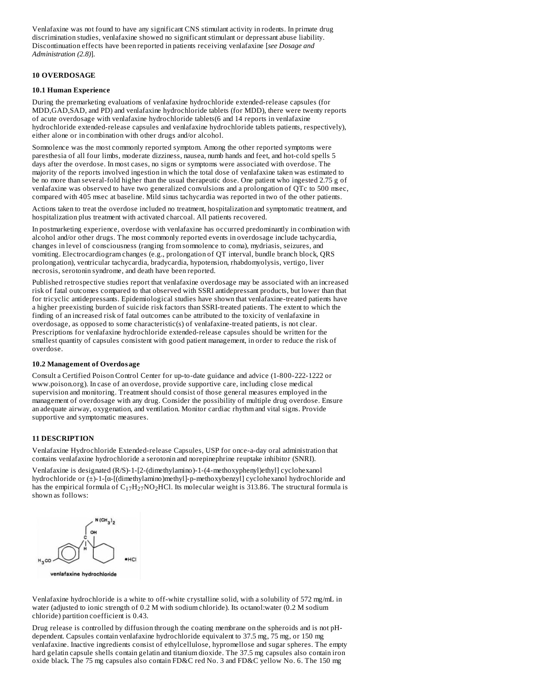Venlafaxine was not found to have any significant CNS stimulant activity in rodents. In primate drug discrimination studies, venlafaxine showed no significant stimulant or depressant abuse liability. Discontinuation effects have been reported in patients receiving venlafaxine [*see Dosage and Administration (2.8)*].

## **10 OVERDOSAGE**

#### **10.1 Human Experience**

During the premarketing evaluations of venlafaxine hydrochloride extended-release capsules (for MDD,GAD,SAD, and PD) and venlafaxine hydrochloride tablets (for MDD), there were twenty reports of acute overdosage with venlafaxine hydrochloride tablets(6 and 14 reports in venlafaxine hydrochloride extended-release capsules and venlafaxine hydrochloride tablets patients, respectively), either alone or in combination with other drugs and/or alcohol.

Somnolence was the most commonly reported symptom. Among the other reported symptoms were paresthesia of all four limbs, moderate dizziness, nausea, numb hands and feet, and hot-cold spells 5 days after the overdose. In most cases, no signs or symptoms were associated with overdose. The majority of the reports involved ingestion in which the total dose of venlafaxine taken was estimated to be no more than several-fold higher than the usual therapeutic dose. One patient who ingested 2.75 g of venlafaxine was observed to have two generalized convulsions and a prolongation of QTc to 500 msec, compared with 405 msec at baseline. Mild sinus tachycardia was reported in two of the other patients.

Actions taken to treat the overdose included no treatment, hospitalization and symptomatic treatment, and hospitalization plus treatment with activated charcoal. All patients recovered.

In postmarketing experience, overdose with venlafaxine has occurred predominantly in combination with alcohol and/or other drugs. The most commonly reported events in overdosage include tachycardia, changes in level of consciousness (ranging from somnolence to coma), mydriasis, seizures, and vomiting. Electrocardiogram changes (e.g., prolongation of QT interval, bundle branch block, QRS prolongation), ventricular tachycardia, bradycardia, hypotension, rhabdomyolysis, vertigo, liver necrosis, serotonin syndrome, and death have been reported.

Published retrospective studies report that venlafaxine overdosage may be associated with an increased risk of fatal outcomes compared to that observed with SSRI antidepressant products, but lower than that for tricyclic antidepressants. Epidemiological studies have shown that venlafaxine-treated patients have a higher preexisting burden of suicide risk factors than SSRI-treated patients. The extent to which the finding of an increased risk of fatal outcomes can be attributed to the toxicity of venlafaxine in overdosage, as opposed to some characteristic(s) of venlafaxine-treated patients, is not clear. Prescriptions for venlafaxine hydrochloride extended-release capsules should be written for the smallest quantity of capsules consistent with good patient management, in order to reduce the risk of overdose.

## **10.2 Management of Overdosage**

Consult a Certified Poison Control Center for up-to-date guidance and advice (1-800-222-1222 or www.poison.org). In case of an overdose, provide supportive care, including close medical supervision and monitoring. Treatment should consist of those general measures employed in the management of overdosage with any drug. Consider the possibility of multiple drug overdose. Ensure an adequate airway, oxygenation, and ventilation. Monitor cardiac rhythm and vital signs. Provide supportive and symptomatic measures.

## **11 DESCRIPTION**

Venlafaxine Hydrochloride Extended-release Capsules, USP for once-a-day oral administration that contains venlafaxine hydrochloride a serotonin and norepinephrine reuptake inhibitor (SNRI).

Venlafaxine is designated (R/S)-1-[2-(dimethylamino)-1-(4-methoxyphenyl)ethyl] cyclohexanol hydrochloride or (±)-1-[α-[(dimethylamino)methyl]-p-methoxybenzyl] cyclohexanol hydrochloride and has the empirical formula of  $C_{17}H_{27}NO_2HCl$ . Its molecular weight is 313.86. The structural formula is shown as follows:



Venlafaxine hydrochloride is a white to off-white crystalline solid, with a solubility of 572 mg/mL in water (adjusted to ionic strength of 0.2 M with sodium chloride). Its octanol:water (0.2 M sodium chloride) partition coefficient is 0.43.

Drug release is controlled by diffusion through the coating membrane on the spheroids and is not pHdependent. Capsules contain venlafaxine hydrochloride equivalent to 37.5 mg, 75 mg, or 150 mg venlafaxine. Inactive ingredients consist of ethylcellulose, hypromellose and sugar spheres. The empty hard gelatin capsule shells contain gelatin and titanium dioxide. The 37.5 mg capsules also contain iron oxide black. The 75 mg capsules also contain FD&C red No. 3 and FD&C yellow No. 6. The 150 mg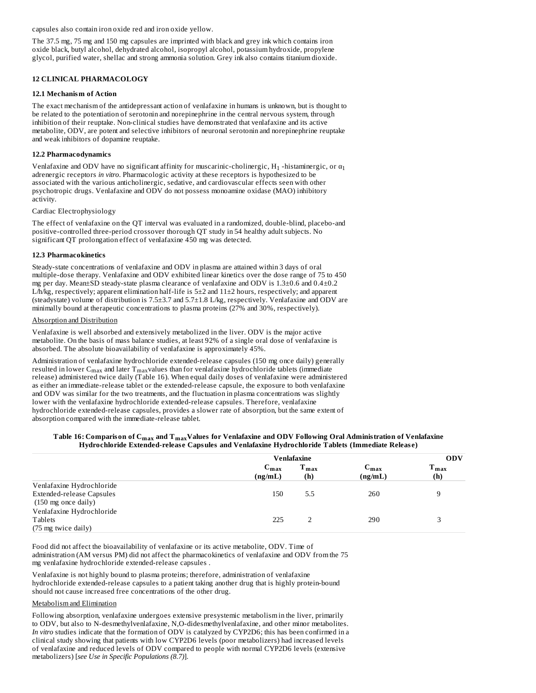capsules also contain iron oxide red and iron oxide yellow.

The 37.5 mg, 75 mg and 150 mg capsules are imprinted with black and grey ink which contains iron oxide black, butyl alcohol, dehydrated alcohol, isopropyl alcohol, potassium hydroxide, propylene glycol, purified water, shellac and strong ammonia solution. Grey ink also contains titanium dioxide.

## **12 CLINICAL PHARMACOLOGY**

## **12.1 Mechanism of Action**

The exact mechanism of the antidepressant action of venlafaxine in humans is unknown, but is thought to be related to the potentiation of serotonin and norepinephrine in the central nervous system, through inhibition of their reuptake. Non-clinical studies have demonstrated that venlafaxine and its active metabolite, ODV, are potent and selective inhibitors of neuronal serotonin and norepinephrine reuptake and weak inhibitors of dopamine reuptake.

## **12.2 Pharmacodynamics**

Venlafaxine and ODV have no significant affinity for muscarinic-cholinergic,  $H_1$ -histaminergic, or  $\alpha_1$ adrenergic receptors *in vitro*. Pharmacologic activity at these receptors is hypothesized to be associated with the various anticholinergic, sedative, and cardiovascular effects seen with other psychotropic drugs. Venlafaxine and ODV do not possess monoamine oxidase (MAO) inhibitory activity.

#### Cardiac Electrophysiology

The effect of venlafaxine on the QT interval was evaluated in a randomized, double-blind, placebo-and positive-controlled three-period crossover thorough QT study in 54 healthy adult subjects. No significant QT prolongation effect of venlafaxine 450 mg was detected.

#### **12.3 Pharmacokinetics**

Steady-state concentrations of venlafaxine and ODV in plasma are attained within 3 days of oral multiple-dose therapy. Venlafaxine and ODV exhibited linear kinetics over the dose range of 75 to 450 mg per day. Mean±SD steady-state plasma clearance of venlafaxine and ODV is 1.3±0.6 and 0.4±0.2 L/h/kg, respectively; apparent elimination half-life is  $5\pm 2$  and  $11\pm 2$  hours, respectively; and apparent (steadystate) volume of distribution is 7.5±3.7 and 5.7±1.8 L/kg, respectively. Venlafaxine and ODV are minimally bound at therapeutic concentrations to plasma proteins (27% and 30%, respectively).

#### Absorption and Distribution

Venlafaxine is well absorbed and extensively metabolized in the liver. ODV is the major active metabolite. On the basis of mass balance studies, at least 92% of a single oral dose of venlafaxine is absorbed. The absolute bioavailability of venlafaxine is approximately 45%.

Administration of venlafaxine hydrochloride extended-release capsules (150 mg once daily) generally resulted in lower C $_{\rm max}$  and later  $\rm T_{max}$ values than for venlafaxine hydrochloride tablets (immediate release) administered twice daily (Table 16). When equal daily doses of venlafaxine were administered as either an immediate-release tablet or the extended-release capsule, the exposure to both venlafaxine and ODV was similar for the two treatments, and the fluctuation in plasma concentrations was slightly lower with the venlafaxine hydrochloride extended-release capsules. Therefore, venlafaxine hydrochloride extended-release capsules, provides a slower rate of absorption, but the same extent of absorption compared with the immediate-release tablet.

| Table 16: Comparison of $C_{max}$ and $T_{max}$ Values for Venlafaxine and ODV Following Oral Administration of Venlafaxine |  |
|-----------------------------------------------------------------------------------------------------------------------------|--|
| Hydrochloride Extended-release Capsules and Venlafaxine Hydrochloride Tablets (Immediate Release)                           |  |

|                           | Venlafaxine                 |                  |                       | <b>ODV</b>              |  |
|---------------------------|-----------------------------|------------------|-----------------------|-------------------------|--|
|                           | $C_{\text{max}}$<br>(ng/mL) | $T_{max}$<br>(h) | $C_{\max}$<br>(ng/mL) | $\mathbf{I}$ max<br>(h) |  |
| Venlafaxine Hydrochloride |                             |                  |                       |                         |  |
| Extended-release Capsules | 150                         | 5.5              | 260                   | 9                       |  |
| (150 mg once daily)       |                             |                  |                       |                         |  |
| Venlafaxine Hydrochloride |                             |                  |                       |                         |  |
| <b>Tablets</b>            | 225                         |                  | 290                   | 3                       |  |
| (75 mg twice daily)       |                             |                  |                       |                         |  |

Food did not affect the bioavailability of venlafaxine or its active metabolite, ODV. Time of administration (AM versus PM) did not affect the pharmacokinetics of venlafaxine and ODV from the 75 mg venlafaxine hydrochloride extended-release capsules .

Venlafaxine is not highly bound to plasma proteins; therefore, administration of venlafaxine hydrochloride extended-release capsules to a patient taking another drug that is highly protein-bound should not cause increased free concentrations of the other drug.

#### Metabolism and Elimination

Following absorption, venlafaxine undergoes extensive presystemic metabolism in the liver, primarily to ODV, but also to N-desmethylvenlafaxine, N,O-didesmethylvenlafaxine, and other minor metabolites. *In vitro* studies indicate that the formation of ODV is catalyzed by CYP2D6; this has been confirmed in a clinical study showing that patients with low CYP2D6 levels (poor metabolizers) had increased levels of venlafaxine and reduced levels of ODV compared to people with normal CYP2D6 levels (extensive metabolizers) [*see Use in Specific Populations (8.7)*].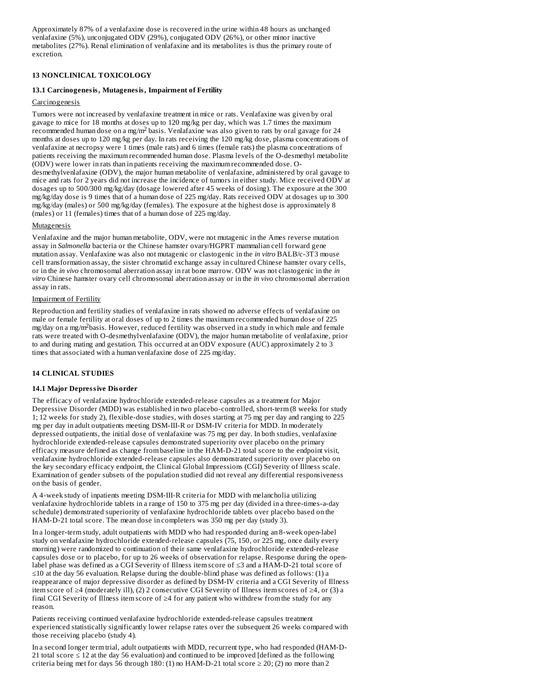Approximately 87% of a venlafaxine dose is recovered in the urine within 48 hours as unchanged venlafaxine (5%), unconjugated ODV (29%), conjugated ODV (26%), or other minor inactive metabolites (27%). Renal elimination of venlafaxine and its metabolites is thus the primary route of excretion.

## **13 NONCLINICAL TOXICOLOGY**

## **13.1 Carcinogenesis, Mutagenesis, Impairment of Fertility**

## Carcinogenesis

Tumors were not increased by venlafaxine treatment in mice or rats. Venlafaxine was given by oral gavage to mice for 18 months at doses up to 120 mg/kg per day, which was 1.7 times the maximum recommended human dose on a mg/m² basis. Venlafaxine was also given to rats by oral gavage for 24 months at doses up to 120 mg/kg per day. In rats receiving the 120 mg/kg dose, plasma concentrations of venlafaxine at necropsy were 1 times (male rats) and 6 times (female rats) the plasma concentrations of patients receiving the maximum recommended human dose. Plasma levels of the O-desmethyl metabolite (ODV) were lower in rats than in patients receiving the maximum recommended dose. Odesmethylvenlafaxine (ODV), the major human metabolite of venlafaxine, administered by oral gavage to mice and rats for 2 years did not increase the incidence of tumors in either study. Mice received ODV at dosages up to 500/300 mg/kg/day (dosage lowered after 45 weeks of dosing). The exposure at the 300 mg/kg/day dose is 9 times that of a human dose of 225 mg/day. Rats received ODV at dosages up to 300 mg/kg/day (males) or 500 mg/kg/day (females). The exposure at the highest dose is approximately 8 (males) or 11 (females) times that of a human dose of 225 mg/day.

## Mutagenesis

Venlafaxine and the major human metabolite, ODV, were not mutagenic in the Ames reverse mutation assay in *Salmonella* bacteria or the Chinese hamster ovary/HGPRT mammalian cell forward gene mutation assay. Venlafaxine was also not mutagenic or clastogenic in the *in vitro* BALB/c-3T3 mouse cell transformation assay, the sister chromatid exchange assay in cultured Chinese hamster ovary cells, or in the *in vivo* chromosomal aberration assay in rat bone marrow. ODV was not clastogenic in the *in vitro* Chinese hamster ovary cell chromosomal aberration assay or in the *in vivo* chromosomal aberration assay in rats.

#### Impairment of Fertility

Reproduction and fertility studies of venlafaxine in rats showed no adverse effects of venlafaxine on male or female fertility at oral doses of up to 2 times the maximum recommended human dose of 225 mg/day on a mg/m<sup>2</sup>basis. However, reduced fertility was observed in a study in which male and female rats were treated with O-desmethylvenlafaxine (ODV), the major human metabolite of venlafaxine, prior to and during mating and gestation. This occurred at an ODV exposure (AUC) approximately 2 to 3 times that associated with a human venlafaxine dose of 225 mg/day.

## **14 CLINICAL STUDIES**

## **14.1 Major Depressive Disorder**

The efficacy of venlafaxine hydrochloride extended-release capsules as a treatment for Major Depressive Disorder (MDD) was established in two placebo-controlled, short-term (8 weeks for study 1; 12 weeks for study 2), flexible-dose studies, with doses starting at 75 mg per day and ranging to 225 mg per day in adult outpatients meeting DSM-III-R or DSM-IV criteria for MDD. In moderately depressed outpatients, the initial dose of venlafaxine was 75 mg per day. In both studies, venlafaxine hydrochloride extended-release capsules demonstrated superiority over placebo on the primary efficacy measure defined as change from baseline in the HAM-D-21 total score to the endpoint visit, venlafaxine hydrochloride extended-release capsules also demonstrated superiority over placebo on the key secondary efficacy endpoint, the Clinical Global Impressions (CGI) Severity of Illness scale. Examination of gender subsets of the population studied did not reveal any differential responsiveness on the basis of gender.

A 4-week study of inpatients meeting DSM-III-R criteria for MDD with melancholia utilizing venlafaxine hydrochloride tablets in a range of 150 to 375 mg per day (divided in a three-times-a-day schedule) demonstrated superiority of venlafaxine hydrochloride tablets over placebo based on the HAM-D-21 total score. The mean dose in completers was 350 mg per day (study 3).

In a longer-term study, adult outpatients with MDD who had responded during an 8-week open-label study on venlafaxine hydrochloride extended-release capsules (75, 150, or 225 mg, once daily every morning) were randomized to continuation of their same venlafaxine hydrochloride extended-release capsules dose or to placebo, for up to 26 weeks of observation for relapse. Response during the openlabel phase was defined as a CGI Severity of Illness item score of ≤3 and a HAM-D-21 total score of ≤10 at the day 56 evaluation. Relapse during the double-blind phase was defined as follows: (1) a reappearance of major depressive disorder as defined by DSM-IV criteria and a CGI Severity of Illness item score of ≥4 (moderately ill), (2) 2 consecutive CGI Severity of Illness item scores of ≥4, or (3) a final CGI Severity of Illness item score of ≥4 for any patient who withdrew from the study for any reason.

Patients receiving continued venlafaxine hydrochloride extended-release capsules treatment experienced statistically significantly lower relapse rates over the subsequent 26 weeks compared with those receiving placebo (study 4).

In a second longer term trial, adult outpatients with MDD, recurrent type, who had responded (HAM-D-21 total score  $\leq$  12 at the day 56 evaluation) and continued to be improved [defined as the following criteria being met for days 56 through 180: (1) no HAM-D-21 total score  $\geq$  20; (2) no more than 2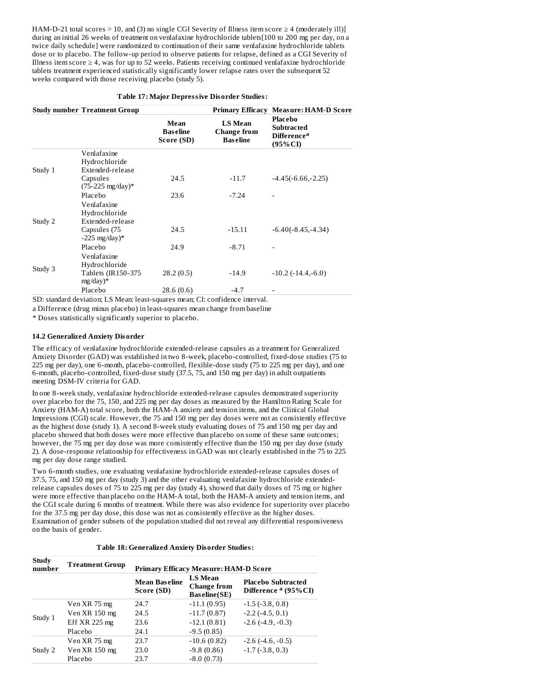HAM-D-21 total scores > 10, and (3) no single CGI Severity of Illness item score  $\geq 4$  (moderately ill)] during an initial 26 weeks of treatment on venlafaxine hydrochloride tablets[100 to 200 mg per day, on a twice daily schedule] were randomized to continuation of their same venlafaxine hydrochloride tablets dose or to placebo. The follow-up period to observe patients for relapse, defined as a CGI Severity of Illness item score ≥ 4, was for up to 52 weeks. Patients receiving continued venlafaxine hydrochloride tablets treatment experienced statistically significantly lower relapse rates over the subsequent 52 weeks compared with those receiving placebo (study 5).

#### **Table 17: Major Depressive Disorder Studies:**

| <b>Study number Treatment Group</b> |                                                             |                                       | <b>Primary Efficacy</b>                                 | <b>Measure: HAM-D Score</b>                                        |
|-------------------------------------|-------------------------------------------------------------|---------------------------------------|---------------------------------------------------------|--------------------------------------------------------------------|
|                                     |                                                             | Mean<br><b>Baseline</b><br>Score (SD) | <b>LS Mean</b><br><b>Change from</b><br><b>Baseline</b> | Placebo<br><b>Subtracted</b><br>Difference <sup>a</sup><br>(95%CI) |
| Study 1                             | Venlafaxine<br>Hydrochloride<br>Extended-release            |                                       |                                                         |                                                                    |
|                                     | Capsules<br>$(75-225 \text{ mg/day})*$                      | 24.5                                  | $-11.7$                                                 | $-4.45(-6.66,-2.25)$                                               |
| Study 2                             | Placebo<br>Venlafaxine<br>Hydrochloride<br>Extended-release | 23.6                                  | $-7.24$                                                 |                                                                    |
|                                     | Capsules (75<br>$-225$ mg/day)*                             | 24.5                                  | $-15.11$                                                | $-6.40(-8.45,-4.34)$                                               |
|                                     | Placebo<br>Venlafaxine<br>Hydrochloride                     | 24.9                                  | $-8.71$                                                 |                                                                    |
| Study 3                             | Tablets (IR150-375<br>$mg/day)*$                            | 28.2 (0.5)                            | $-14.9$                                                 | $-10.2$ ( $-14.4,-6.0$ )                                           |
|                                     | Placebo                                                     | 28.6(0.6)                             | $-4.7$                                                  |                                                                    |

SD: standard deviation; LS Mean: least-squares mean; CI: confidence interval.

a Difference (drug minus placebo) in least-squares mean change from baseline

\* Doses statistically significantly superior to placebo.

#### **14.2 Generalized Anxiety Disorder**

The efficacy of venlafaxine hydrochloride extended-release capsules as a treatment for Generalized Anxiety Disorder (GAD) was established in two 8-week, placebo-controlled, fixed-dose studies (75 to 225 mg per day), one 6-month, placebo-controlled, flexible-dose study (75 to 225 mg per day), and one 6-month, placebo-controlled, fixed-dose study (37.5, 75, and 150 mg per day) in adult outpatients meeting DSM-IV criteria for GAD.

In one 8-week study, venlafaxine hydrochloride extended-release capsules demonstrated superiority over placebo for the 75, 150, and 225 mg per day doses as measured by the Hamilton Rating Scale for Anxiety (HAM-A) total score, both the HAM-A anxiety and tension items, and the Clinical Global Impressions (CGI) scale. However, the 75 and 150 mg per day doses were not as consistently effective as the highest dose (study 1). A second 8-week study evaluating doses of 75 and 150 mg per day and placebo showed that both doses were more effective than placebo on some of these same outcomes; however, the 75 mg per day dose was more consistently effective than the 150 mg per day dose (study 2). A dose-response relationship for effectiveness in GAD was not clearly established in the 75 to 225 mg per day dose range studied.

Two 6-month studies, one evaluating venlafaxine hydrochloride extended-release capsules doses of 37.5, 75, and 150 mg per day (study 3) and the other evaluating venlafaxine hydrochloride extendedrelease capsules doses of 75 to 225 mg per day (study 4), showed that daily doses of 75 mg or higher were more effective than placebo on the HAM-A total, both the HAM-A anxiety and tension items, and the CGI scale during 6 months of treatment. While there was also evidence for superiority over placebo for the 37.5 mg per day dose, this dose was not as consistently effective as the higher doses. Examination of gender subsets of the population studied did not reveal any differential responsiveness on the basis of gender.

**Table 18: Generalized Anxiety Disorder Studies:**

| Study<br>number | <b>Treatment Group</b> | <b>Primary Efficacy Measure: HAM-D Score</b> |                                                      |                                                              |  |  |  |
|-----------------|------------------------|----------------------------------------------|------------------------------------------------------|--------------------------------------------------------------|--|--|--|
|                 |                        | <b>Mean Baseline</b><br>Score (SD)           | <b>LS Mean</b><br><b>Change from</b><br>Baseline(SE) | <b>Placebo Subtracted</b><br>Difference <sup>a</sup> (95%CI) |  |  |  |
| Study 1         | Ven XR 75 mg           | 24.7                                         | $-11.1(0.95)$                                        | $-1.5(-3.8, 0.8)$                                            |  |  |  |
|                 | Ven XR 150 mg          | 24.5                                         | $-11.7(0.87)$                                        | $-2.2$ ( $-4.5, 0.1$ )                                       |  |  |  |
|                 | Eff $XR$ 225 mg        | 23.6                                         | $-12.1(0.81)$                                        | $-2.6$ ( $-4.9, -0.3$ )                                      |  |  |  |
|                 | Placebo                | 24.1                                         | $-9.5(0.85)$                                         |                                                              |  |  |  |
| Study 2         | Ven XR 75 mg           | 23.7                                         | $-10.6(0.82)$                                        | $-2.6$ ( $-4.6$ , $-0.5$ )                                   |  |  |  |
|                 | Ven XR 150 mg          | 23.0                                         | $-9.8(0.86)$                                         | $-1.7$ ( $-3.8, 0.3$ )                                       |  |  |  |
|                 | Placebo                | 23.7                                         | $-8.0(0.73)$                                         |                                                              |  |  |  |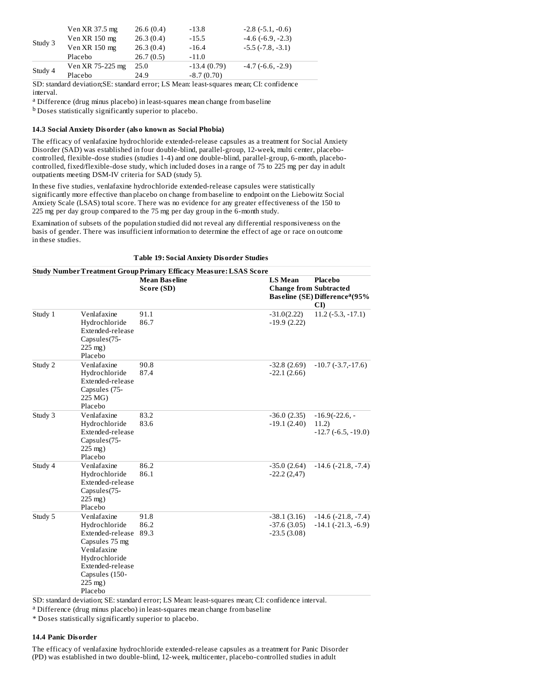| Study 3 | Ven XR 37.5 mg   | 26.6(0.4) | -13.8         | $-2.8$ ( $-5.1, -0.6$ )    |
|---------|------------------|-----------|---------------|----------------------------|
|         | Ven XR 150 mg    | 26.3(0.4) | $-15.5$       | $-4.6$ ( $-6.9$ , $-2.3$ ) |
|         | Ven XR 150 mg    | 26.3(0.4) | $-16.4$       | $-5.5(-7.8,-3.1)$          |
|         | Placebo          | 26.7(0.5) | $-11.0$       |                            |
| Study 4 | Ven XR 75-225 mg | 25.0      | $-13.4(0.79)$ | $-4.7(-6.6,-2.9)$          |
|         | Placebo          | 24.9      | $-8.7(0.70)$  |                            |

SD: standard deviation;SE: standard error; LS Mean: least-squares mean; CI: confidence interval.

<sup>a</sup> Difference (drug minus placebo) in least-squares mean change from baseline

**b** Doses statistically significantly superior to placebo.

## **14.3 Social Anxiety Disorder (also known as Social Phobia)**

The efficacy of venlafaxine hydrochloride extended-release capsules as a treatment for Social Anxiety Disorder (SAD) was established in four double-blind, parallel-group, 12-week, multi center, placebocontrolled, flexible-dose studies (studies 1-4) and one double-blind, parallel-group, 6-month, placebocontrolled, fixed/flexible-dose study, which included doses in a range of 75 to 225 mg per day in adult outpatients meeting DSM-IV criteria for SAD (study 5).

In these five studies, venlafaxine hydrochloride extended-release capsules were statistically significantly more effective than placebo on change from baseline to endpoint on the Liebowitz Social Anxiety Scale (LSAS) total score. There was no evidence for any greater effectiveness of the 150 to 225 mg per day group compared to the 75 mg per day group in the 6-month study.

Examination of subsets of the population studied did not reveal any differential responsiveness on the basis of gender. There was insufficient information to determine the effect of age or race on outcome in these studies.

| <b>Study Number Treatment Group Primary Efficacy Measure: LSAS Score</b> |                                                                                                                                                                |                                    |                                                 |                                                                     |  |  |
|--------------------------------------------------------------------------|----------------------------------------------------------------------------------------------------------------------------------------------------------------|------------------------------------|-------------------------------------------------|---------------------------------------------------------------------|--|--|
|                                                                          |                                                                                                                                                                | <b>Mean Baseline</b><br>Score (SD) | <b>LS Mean</b><br><b>Change from Subtracted</b> | <b>Placebo</b><br>Baseline (SE) Difference <sup>a</sup> (95%<br>CI) |  |  |
| Study 1                                                                  | Venlafaxine<br>Hydrochloride<br>Extended-release<br>Capsules(75-<br>$225 \text{ mg}$ )<br>Placebo                                                              | 91.1<br>86.7                       | $-31.0(2.22)$<br>$-19.9(2.22)$                  | $11.2$ ( $-5.3$ , $-17.1$ )                                         |  |  |
| Study 2                                                                  | Venlafaxine<br>Hydrochloride<br>Extended-release<br>Capsules (75-<br>225 MG)<br>Placebo                                                                        | 90.8<br>87.4                       | $-32.8(2.69)$<br>$-22.1(2.66)$                  | $-10.7(-3.7,-17.6)$                                                 |  |  |
| Study 3                                                                  | Venlafaxine<br>Hydrochloride<br>Extended-release<br>Capsules(75-<br>$225$ mg)<br>Placebo                                                                       | 83.2<br>83.6                       | $-36.0(2.35)$<br>$-19.1(2.40)$                  | $-16.9(-22.6, -$<br>11.2)<br>$-12.7$ ( $-6.5, -19.0$ )              |  |  |
| Study 4                                                                  | Venlafaxine<br>Hydrochloride<br>Extended-release<br>Capsules(75-<br>$225 \text{ mg}$ )<br>Placebo                                                              | 86.2<br>86.1                       | $-35.0(2.64)$<br>$-22.2(2,47)$                  | $-14.6$ $(-21.8, -7.4)$                                             |  |  |
| Study 5                                                                  | Venlafaxine<br>Hydrochloride<br>Extended-release<br>Capsules 75 mg<br>Venlafaxine<br>Hydrochloride<br>Extended-release<br>Capsules (150-<br>225 mg)<br>Placebo | 91.8<br>86.2<br>89.3               | $-38.1(3.16)$<br>$-37.6(3.05)$<br>$-23.5(3.08)$ | $-14.6$ ( $-21.8$ , $-7.4$ )<br>$-14.1$ ( $-21.3$ , $-6.9$ )        |  |  |

**Table 19: Social Anxiety Disorder Studies**

SD: standard deviation; SE: standard error; LS Mean: least-squares mean; CI: confidence interval.

<sup>a</sup> Difference (drug minus placebo) in least-squares mean change from baseline

\* Doses statistically significantly superior to placebo.

#### **14.4 Panic Disorder**

The efficacy of venlafaxine hydrochloride extended-release capsules as a treatment for Panic Disorder (PD) was established in two double-blind, 12-week, multicenter, placebo-controlled studies in adult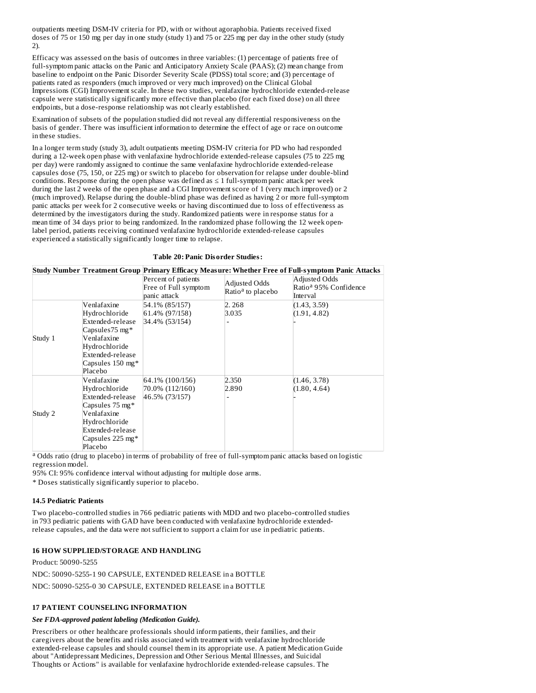outpatients meeting DSM-IV criteria for PD, with or without agoraphobia. Patients received fixed doses of 75 or 150 mg per day in one study (study 1) and 75 or 225 mg per day in the other study (study 2).

Efficacy was assessed on the basis of outcomes in three variables: (1) percentage of patients free of full-symptom panic attacks on the Panic and Anticipatory Anxiety Scale (PAAS); (2) mean change from baseline to endpoint on the Panic Disorder Severity Scale (PDSS) total score; and (3) percentage of patients rated as responders (much improved or very much improved) on the Clinical Global Impressions (CGI) Improvement scale. In these two studies, venlafaxine hydrochloride extended-release capsule were statistically significantly more effective than placebo (for each fixed dose) on all three endpoints, but a dose-response relationship was not clearly established.

Examination of subsets of the population studied did not reveal any differential responsiveness on the basis of gender. There was insufficient information to determine the effect of age or race on outcome in these studies.

In a longer term study (study 3), adult outpatients meeting DSM-IV criteria for PD who had responded during a 12-week open phase with venlafaxine hydrochloride extended-release capsules (75 to 225 mg per day) were randomly assigned to continue the same venlafaxine hydrochloride extended-release capsules dose (75, 150, or 225 mg) or switch to placebo for observation for relapse under double-blind conditions. Response during the open phase was defined as  $\leq 1$  full-symptom panic attack per week during the last 2 weeks of the open phase and a CGI Improvement score of 1 (very much improved) or 2 (much improved). Relapse during the double-blind phase was defined as having 2 or more full-symptom panic attacks per week for 2 consecutive weeks or having discontinued due to loss of effectiveness as determined by the investigators during the study. Randomized patients were in response status for a mean time of 34 days prior to being randomized. In the randomized phase following the 12 week openlabel period, patients receiving continued venlafaxine hydrochloride extended-release capsules experienced a statistically significantly longer time to relapse.

**Table 20: Panic Disorder Studies:**

|         |                                                                                                                                                        |                                                             |                                                | Study Number Treatment Group Primary Efficacy Measure: Whether Free of Full-symptom Panic Attacks |
|---------|--------------------------------------------------------------------------------------------------------------------------------------------------------|-------------------------------------------------------------|------------------------------------------------|---------------------------------------------------------------------------------------------------|
|         |                                                                                                                                                        | Percent of patients<br>Free of Full symptom<br>panic attack | Adjusted Odds<br>Ratio <sup>a</sup> to placebo | Adjusted Odds<br>Ratio <sup>a</sup> 95% Confidence<br>Interval                                    |
| Study 1 | Venlafaxine<br>Hydrochloride<br>Extended-release<br>Capsules75 mg*<br>Venlafaxine<br>Hydrochloride<br>Extended-release<br>Capsules 150 mg*<br>Placebo  | 54.1% (85/157)<br>61.4% (97/158)<br>34.4% (53/154)          | 2. 268<br>3.035                                | (1.43, 3.59)<br>(1.91, 4.82)                                                                      |
| Study 2 | Venlafaxine<br>Hydrochloride<br>Extended-release<br>Capsules 75 mg*<br>Venlafaxine<br>Hydrochloride<br>Extended-release<br>Capsules 225 mg*<br>Placebo | 64.1% (100/156)<br>70.0% (112/160)<br>46.5% (73/157)        | 2.350<br>2.890                                 | (1.46, 3.78)<br>(1.80, 4.64)                                                                      |

<sup>a</sup> Odds ratio (drug to placebo) in terms of probability of free of full-symptom panic attacks based on logistic regression model.

95% CI: 95% confidence interval without adjusting for multiple dose arms.

\* Doses statistically significantly superior to placebo.

## **14.5 Pediatric Patients**

Two placebo-controlled studies in 766 pediatric patients with MDD and two placebo-controlled studies in 793 pediatric patients with GAD have been conducted with venlafaxine hydrochloride extendedrelease capsules, and the data were not sufficient to support a claim for use in pediatric patients.

## **16 HOW SUPPLIED/STORAGE AND HANDLING**

Product: 50090-5255

NDC: 50090-5255-1 90 CAPSULE, EXTENDED RELEASE in a BOTTLE NDC: 50090-5255-0 30 CAPSULE, EXTENDED RELEASE in a BOTTLE

## **17 PATIENT COUNSELING INFORMATION**

## *See FDA-approved patient labeling (Medication Guide).*

Prescribers or other healthcare professionals should inform patients, their families, and their caregivers about the benefits and risks associated with treatment with venlafaxine hydrochloride extended-release capsules and should counsel them in its appropriate use. A patient Medication Guide about "Antidepressant Medicines, Depression and Other Serious Mental Illnesses, and Suicidal Thoughts or Actions" is available for venlafaxine hydrochloride extended-release capsules. The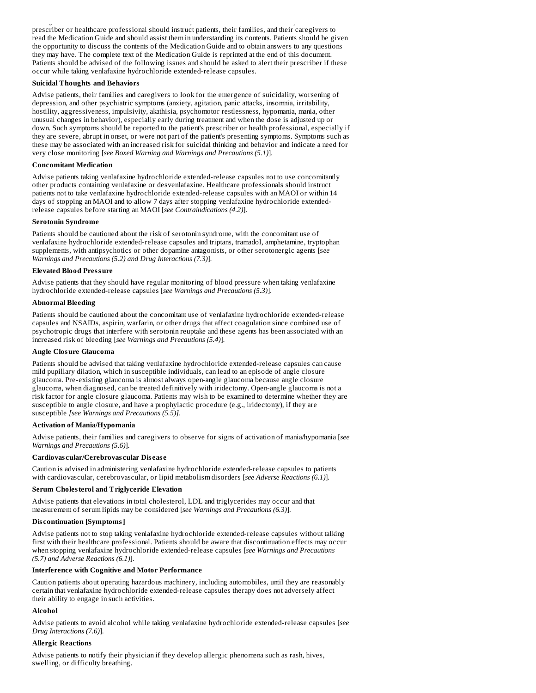prescriber or healthcare professional should instruct patients, their families, and their caregivers to read the Medication Guide and should assist them in understanding its contents. Patients should be given the opportunity to discuss the contents of the Medication Guide and to obtain answers to any questions they may have. The complete text of the Medication Guide is reprinted at the end of this document. Patients should be advised of the following issues and should be asked to alert their prescriber if these occur while taking venlafaxine hydrochloride extended-release capsules.

Thoughts or Actions" is available for venlafaxine hydrochloride extended-release capsules. The

#### **Suicidal Thoughts and Behaviors**

Advise patients, their families and caregivers to look for the emergence of suicidality, worsening of depression, and other psychiatric symptoms (anxiety, agitation, panic attacks, insomnia, irritability, hostility, aggressiveness, impulsivity, akathisia, psychomotor restlessness, hypomania, mania, other unusual changes in behavior), especially early during treatment and when the dose is adjusted up or down. Such symptoms should be reported to the patient's prescriber or health professional, especially if they are severe, abrupt in onset, or were not part of the patient's presenting symptoms. Symptoms such as these may be associated with an increased risk for suicidal thinking and behavior and indicate a need for very close monitoring [*see Boxed Warning and Warnings and Precautions (5.1)*].

#### **Concomitant Medication**

Advise patients taking venlafaxine hydrochloride extended-release capsules not to use concomitantly other products containing venlafaxine or desvenlafaxine. Healthcare professionals should instruct patients not to take venlafaxine hydrochloride extended-release capsules with an MAOI or within 14 days of stopping an MAOI and to allow 7 days after stopping venlafaxine hydrochloride extendedrelease capsules before starting an MAOI [*see Contraindications (4.2)*].

#### **Serotonin Syndrome**

Patients should be cautioned about the risk of serotonin syndrome, with the concomitant use of venlafaxine hydrochloride extended-release capsules and triptans, tramadol, amphetamine, tryptophan supplements, with antipsychotics or other dopamine antagonists, or other serotonergic agents [s*ee Warnings and Precautions (5.2) and Drug Interactions (7.3)*].

## **Elevated Blood Pressure**

Advise patients that they should have regular monitoring of blood pressure when taking venlafaxine hydrochloride extended-release capsules [*see Warnings and Precautions (5.3)*].

## **Abnormal Bleeding**

Patients should be cautioned about the concomitant use of venlafaxine hydrochloride extended-release capsules and NSAIDs, aspirin, warfarin, or other drugs that affect coagulation since combined use of psychotropic drugs that interfere with serotonin reuptake and these agents has been associated with an increased risk of bleeding [*see Warnings and Precautions (5.4)*].

## **Angle Closure Glaucoma**

Patients should be advised that taking venlafaxine hydrochloride extended-release capsules can cause mild pupillary dilation, which in susceptible individuals, can lead to an episode of angle closure glaucoma. Pre-existing glaucoma is almost always open-angle glaucoma because angle closure glaucoma, when diagnosed, can be treated definitively with iridectomy. Open-angle glaucoma is not a risk factor for angle closure glaucoma. Patients may wish to be examined to determine whether they are susceptible to angle closure, and have a prophylactic procedure (e.g., iridectomy), if they are susceptible *[see Warnings and Precautions (5.5)]*.

#### **Activation of Mania/Hypomania**

Advise patients, their families and caregivers to observe for signs of activation of mania/hypomania [*see Warnings and Precautions (5.6)*].

## **Cardiovas cular/Cerebrovas cular Dis eas e**

Caution is advised in administering venlafaxine hydrochloride extended-release capsules to patients with cardiovascular, cerebrovascular, or lipid metabolism disorders [*see Adverse Reactions (6.1)*].

#### **Serum Cholesterol and Triglyceride Elevation**

Advise patients that elevations in total cholesterol, LDL and triglycerides may occur and that measurement of serum lipids may be considered [*see Warnings and Precautions (6.3)*].

#### **Dis continuation [Symptoms]**

Advise patients not to stop taking venlafaxine hydrochloride extended-release capsules without talking first with their healthcare professional. Patients should be aware that discontinuation effects may occur when stopping venlafaxine hydrochloride extended-release capsules [*see Warnings and Precautions (5.7) and Adverse Reactions (6.1)*].

## **Interference with Cognitive and Motor Performance**

Caution patients about operating hazardous machinery, including automobiles, until they are reasonably certain that venlafaxine hydrochloride extended-release capsules therapy does not adversely affect their ability to engage in such activities.

## **Alcohol**

Advise patients to avoid alcohol while taking venlafaxine hydrochloride extended-release capsules [*see Drug Interactions (7.6)*].

#### **Allergic Reactions**

Advise patients to notify their physician if they develop allergic phenomena such as rash, hives, swelling, or difficulty breathing.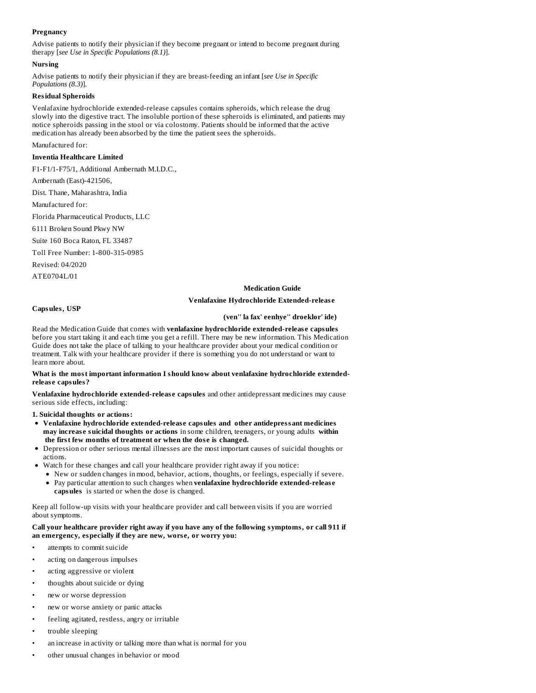## **Pregnancy**

Advise patients to notify their physician if they become pregnant or intend to become pregnant during therapy [*see Use in Specific Populations (8.1)*].

## **Nursing**

Advise patients to notify their physician if they are breast-feeding an infant [*see Use in Specific Populations (8.3)*].

## **Residual Spheroids**

Venlafaxine hydrochloride extended-release capsules contains spheroids, which release the drug slowly into the digestive tract. The insoluble portion of these spheroids is eliminated, and patients may notice spheroids passing in the stool or via colostomy. Patients should be informed that the active medication has already been absorbed by the time the patient sees the spheroids.

Manufactured for:

## **Inventia Healthcare Limited**

F1-F1/1-F75/1, Additional Ambernath M.I.D.C.,

Ambernath (East)-421506,

Dist. Thane, Maharashtra, India

Manufactured for:

Florida Pharmaceutical Products, LLC

6111 Broken Sound Pkwy NW

Suite 160 Boca Raton, FL 33487

Toll Free Number: 1-800-315-0985

Revised: 04/2020

ATE0704L/01

## **Medication Guide**

## **Venlafaxine Hydrochloride Extended-releas e**

# **Capsules, USP**

## **(ven'' la fax' eenhye'' droeklor' ide)**

Read the Medication Guide that comes with **venlafaxine hydrochloride extended-releas e capsules** before you start taking it and each time you get a refill. There may be new information. This Medication Guide does not take the place of talking to your healthcare provider about your medical condition or treatment. Talk with your healthcare provider if there is something you do not understand or want to learn more about.

#### **What is the most important information I should know about venlafaxine hydrochloride extendedreleas e capsules?**

**Venlafaxine hydrochloride extended-releas e capsules** and other antidepressant medicines may cause serious side effects, including:

## **1. Suicidal thoughts or actions:**

- **Venlafaxine hydrochloride extended-releas e capsules and other antidepressant medicines may increas e suicidal thoughts or actions** in some children, teenagers, or young adults **within the first few months of treatment or when the dos e is changed.**
- Depression or other serious mental illnesses are the most important causes of suicidal thoughts or actions.
- Watch for these changes and call your healthcare provider right away if you notice:
	- New or sudden changes in mood, behavior, actions, thoughts, or feelings, especially if severe.
	- Pay particular attention to such changes when **venlafaxine hydrochloride extended-releas e capsules** is started or when the dose is changed.

Keep all follow-up visits with your healthcare provider and call between visits if you are worried about symptoms.

## **Call your healthcare provider right away if you have any of the following symptoms, or call 911 if an emergency, especially if they are new, wors e, or worry you:**

- attempts to commit suicide
- acting on dangerous impulses
- acting aggressive or violent
- thoughts about suicide or dying
- new or worse depression
- new or worse anxiety or panic attacks
- feeling agitated, restless, angry or irritable
- trouble sleeping
- an increase in activity or talking more than what is normal for you
- other unusual changes in behavior or mood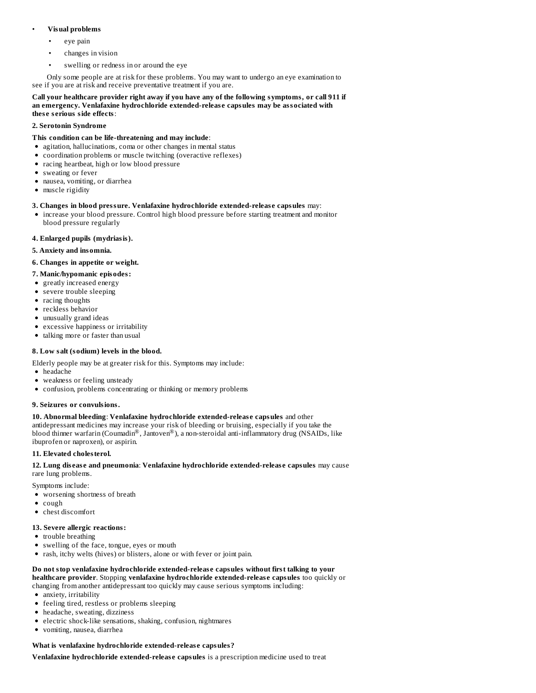## • **Visual problems**

- eye pain
- changes in vision
- swelling or redness in or around the eye

Only some people are at risk for these problems. You may want to undergo an eye examination to see if you are at risk and receive preventative treatment if you are.

#### **Call your healthcare provider right away if you have any of the following symptoms, or call 911 if an emergency. Venlafaxine hydrochloride extended-releas e capsules may be associated with thes e s erious side effects**:

## **2. Serotonin Syndrome**

**This condition can be life-threatening and may include**:

- agitation, hallucinations, coma or other changes in mental status
- coordination problems or muscle twitching (overactive reflexes)
- racing heartbeat, high or low blood pressure
- sweating or fever
- nausea, vomiting, or diarrhea
- muscle rigidity

#### **3. Changes in blood pressure. Venlafaxine hydrochloride extended-releas e capsules** may:

increase your blood pressure. Control high blood pressure before starting treatment and monitor blood pressure regularly

#### **4. Enlarged pupils (mydriasis).**

## **5. Anxiety and insomnia.**

## **6. Changes in appetite or weight.**

#### **7. Manic/hypomanic episodes:**

- greatly increased energy
- severe trouble sleeping
- racing thoughts
- reckless behavior
- unusually grand ideas
- excessive happiness or irritability
- talking more or faster than usual

## **8. Low salt (sodium) levels in the blood.**

Elderly people may be at greater risk for this. Symptoms may include:

- headache
- weakness or feeling unsteady
- confusion, problems concentrating or thinking or memory problems  $\bullet$

## **9. Seizures or convulsions.**

## **10. Abnormal bleeding**: **Venlafaxine hydrochloride extended-releas e capsules** and other

antidepressant medicines may increase your risk of bleeding or bruising, especially if you take the blood thinner warfarin (Coumadin®, Jantoven®), a non-steroidal anti-inflammatory drug (NSAIDs, like ibuprofen or naproxen), or aspirin.

## **11. Elevated cholesterol.**

#### **12. Lung dis eas e and pneumonia**: **Venlafaxine hydrochloride extended-releas e capsules** may cause rare lung problems.

Symptoms include:

- worsening shortness of breath
- $\bullet$ cough
- chest discomfort

## **13. Severe allergic reactions:**

- trouble breathing
- swelling of the face, tongue, eyes or mouth
- rash, itchy welts (hives) or blisters, alone or with fever or joint pain.

### **Do not stop venlafaxine hydrochloride extended-releas e capsules without first talking to your healthcare provider**. Stopping **venlafaxine hydrochloride extended-releas e capsules** too quickly or changing from another antidepressant too quickly may cause serious symptoms including:

- anxiety, irritability
- feeling tired, restless or problems sleeping
- headache, sweating, dizziness
- electric shock-like sensations, shaking, confusion, nightmares
- $\bullet$ vomiting, nausea, diarrhea

## **What is venlafaxine hydrochloride extended-releas e capsules?**

**Venlafaxine hydrochloride extended-releas e capsules** is a prescription medicine used to treat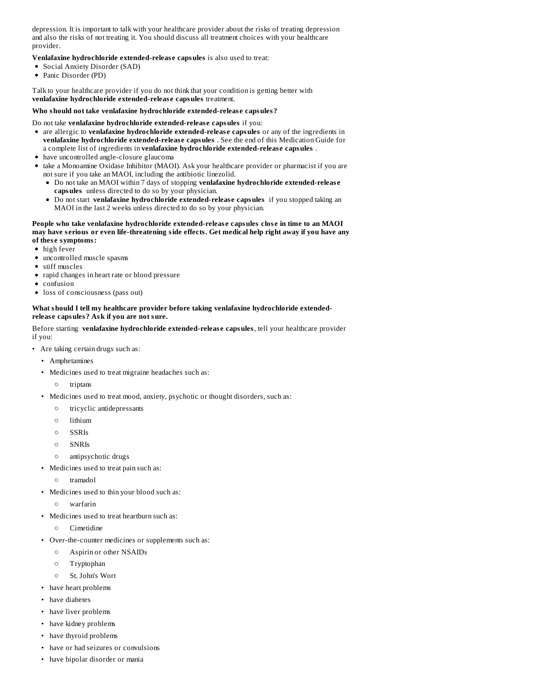depression. It is important to talk with your healthcare provider about the risks of treating depression and also the risks of not treating it. You should discuss all treatment choices with your healthcare provider.

## **Venlafaxine hydrochloride extended-releas e capsules** is also used to treat:

- Social Anxiety Disorder (SAD)
- Panic Disorder (PD)

Talk to your healthcare provider if you do not think that your condition is getting better with **venlafaxine hydrochloride extended-releas e capsules** treatment.

## **Who should not take venlafaxine hydrochloride extended-releas e capsules?**

#### Do not take **venlafaxine hydrochloride extended-releas e capsules** if you:

- are allergic to **venlafaxine hydrochloride extended-releas e capsules** or any of the ingredients in **venlafaxine hydrochloride extended-releas e capsules** . See the end of this Medication Guide for a complete list of ingredients in **venlafaxine hydrochloride extended-releas e capsules** .
- have uncontrolled angle-closure glaucoma
- take a Monoamine Oxidase Inhibitor (MAOI). Ask your healthcare provider or pharmacist if you are not sure if you take an MAOI, including the antibiotic linezolid.
	- Do not take an MAOI within 7 days of stopping **venlafaxine hydrochloride extended-releas e capsules** unless directed to do so by your physician.
	- Do not start **venlafaxine hydrochloride extended-releas e capsules** if you stopped taking an MAOI in the last 2 weeks unless directed to do so by your physician.

## **People who take venlafaxine hydrochloride extended-releas e capsules clos e in time to an MAOI** may have serious or even life-threatening side effects. Get medical help right away if you have any **of thes e symptoms:**

- high fever
- uncontrolled muscle spasms
- stiff muscles
- rapid changes in heart rate or blood pressure
- confusion
- loss of consciousness (pass out)

## **What should I tell my healthcare provider before taking venlafaxine hydrochloride extendedreleas e capsules? Ask if you are not sure.**

Before starting **venlafaxine hydrochloride extended-releas e capsules**, tell your healthcare provider if you:

- Are taking certain drugs such as:
	- Amphetamines
	- Medicines used to treat migraine headaches such as:
		- triptans
	- Medicines used to treat mood, anxiety, psychotic or thought disorders, such as:
		- tricyclic antidepressants
		- lithium
		- SSRIs
		- SNRIs
		- antipsychotic drugs
	- Medicines used to treat pain such as:
		- tramadol
	- Medicines used to thin your blood such as:
		- warfarin
		- Medicines used to treat heartburn such as:
			- Cimetidine
	- Over-the-counter medicines or supplements such as:
		- Aspirin or other NSAIDs
		- Tryptophan
		- St. John's Wort
	- have heart problems
	- have diabetes
	- have liver problems
	- have kidney problems
	- have thyroid problems
	- have or had seizures or convulsions
	- have bipolar disorder or mania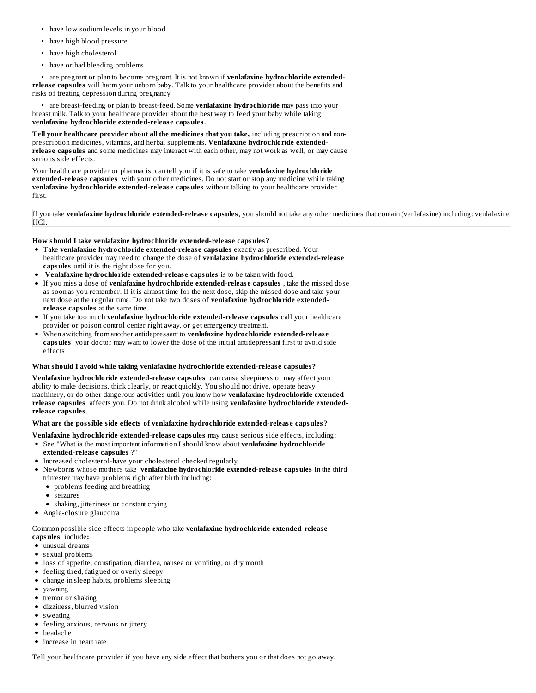- have low sodium levels in your blood
- have high blood pressure
- have high cholesterol
- have or had bleeding problems

• are pregnant or plan to become pregnant. It is not known if **venlafaxine hydrochloride extendedreleas e capsules** will harm your unborn baby. Talk to your healthcare provider about the benefits and risks of treating depression during pregnancy

• are breast-feeding or plan to breast-feed. Some **venlafaxine hydrochloride** may pass into your breast milk. Talk to your healthcare provider about the best way to feed your baby while taking **venlafaxine hydrochloride extended-releas e capsules**.

**Tell your healthcare provider about all the medicines that you take,** including prescription and nonprescription medicines, vitamins, and herbal supplements. **Venlafaxine hydrochloride extendedreleas e capsules** and some medicines may interact with each other, may not work as well, or may cause serious side effects.

Your healthcare provider or pharmacist can tell you if it is safe to take **venlafaxine hydrochloride extended-releas e capsules** with your other medicines. Do not start or stop any medicine while taking **venlafaxine hydrochloride extended-releas e capsules** without talking to your healthcare provider first.

If you take **venlafaxine hydrochloride extended-releas e capsules**, you should not take any other medicines that contain (venlafaxine) including: venlafaxine HCl.

## **How should I take venlafaxine hydrochloride extended-releas e capsules?**

- Take **venlafaxine hydrochloride extended-releas e capsules** exactly as prescribed. Your healthcare provider may need to change the dose of **venlafaxine hydrochloride extended-releas e capsules** until it is the right dose for you.
- **Venlafaxine hydrochloride extended-releas e capsules** is to be taken with food.
- If you miss a dose of **venlafaxine hydrochloride extended-releas e capsules** , take the missed dose as soon as you remember. If it is almost time for the next dose, skip the missed dose and take your next dose at the regular time. Do not take two doses of **venlafaxine hydrochloride extendedreleas e capsules** at the same time.
- If you take too much **venlafaxine hydrochloride extended-releas e capsules** call your healthcare provider or poison control center right away, or get emergency treatment.
- When switching from another antidepressant to **venlafaxine hydrochloride extended-releas e capsules** your doctor may want to lower the dose of the initial antidepressant first to avoid side effects

## **What should I avoid while taking venlafaxine hydrochloride extended-releas e capsules?**

**Venlafaxine hydrochloride extended-releas e capsules** can cause sleepiness or may affect your ability to make decisions, think clearly, or react quickly. You should not drive, operate heavy machinery, or do other dangerous activities until you know how **venlafaxine hydrochloride extendedreleas e capsules** affects you. Do not drink alcohol while using **venlafaxine hydrochloride extendedreleas e capsules**.

## **What are the possible side effects of venlafaxine hydrochloride extended-releas e capsules?**

**Venlafaxine hydrochloride extended-releas e capsules** may cause serious side effects, including:

- See "What is the most important information I should know about **venlafaxine hydrochloride**
- **extended-releas e capsules** ?" Increased cholesterol-have your cholesterol checked regularly
- Newborns whose mothers take **venlafaxine hydrochloride extended-releas e capsules** in the third trimester may have problems right after birth including:
	- problems feeding and breathing
	- seizures
	- shaking, jitteriness or constant crying
- Angle-closure glaucoma

Common possible side effects in people who take **venlafaxine hydrochloride extended-releas e capsules** include**:**

- unusual dreams
- sexual problems
- loss of appetite, constipation, diarrhea, nausea or vomiting, or dry mouth
- $\bullet$ feeling tired, fatigued or overly sleepy
- change in sleep habits, problems sleeping
- yawning
- tremor or shaking
- dizziness, blurred vision
- sweating
- feeling anxious, nervous or jittery
- headache • increase in heart rate

Tell your healthcare provider if you have any side effect that bothers you or that does not go away.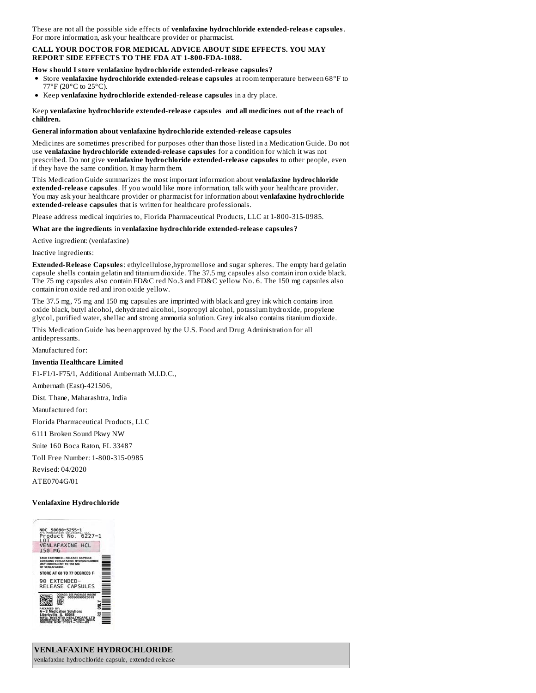These are not all the possible side effects of **venlafaxine hydrochloride extended-releas e capsules**. For more information, ask your healthcare provider or pharmacist.

## **CALL YOUR DOCTOR FOR MEDICAL ADVICE ABOUT SIDE EFFECTS. YOU MAY REPORT SIDE EFFECTS TO THE FDA AT 1-800-FDA-1088.**

#### **How should I store venlafaxine hydrochloride extended-releas e capsules?**

- Store **venlafaxine hydrochloride extended-releas e capsules** at room temperature between 68°F to 77°F (20°C to 25°C).
- Keep **venlafaxine hydrochloride extended-releas e capsules** in a dry place.

Keep **venlafaxine hydrochloride extended-releas e capsules and all medicines out of the reach of children.**

#### **General information about venlafaxine hydrochloride extended-releas e capsules**

Medicines are sometimes prescribed for purposes other than those listed in a Medication Guide. Do not use **venlafaxine hydrochloride extended-releas e capsules** for a condition for which it was not prescribed. Do not give **venlafaxine hydrochloride extended-releas e capsules** to other people, even if they have the same condition. It may harm them.

This Medication Guide summarizes the most important information about **venlafaxine hydrochloride extended-releas e capsules**. If you would like more information, talk with your healthcare provider. You may ask your healthcare provider or pharmacist for information about **venlafaxine hydrochloride extended-releas e capsules** that is written for healthcare professionals.

Please address medical inquiries to, Florida Pharmaceutical Products, LLC at 1-800-315-0985.

**What are the ingredients** in **venlafaxine hydrochloride extended-releas e capsules?**

Active ingredient: (venlafaxine)

Inactive ingredients:

**Extended-Releas e Capsules**: ethylcellulose,hypromellose and sugar spheres. The empty hard gelatin capsule shells contain gelatin and titanium dioxide. The 37.5 mg capsules also contain iron oxide black. The 75 mg capsules also contain FD&C red No.3 and FD&C yellow No. 6. The 150 mg capsules also contain iron oxide red and iron oxide yellow.

The 37.5 mg, 75 mg and 150 mg capsules are imprinted with black and grey ink which contains iron oxide black, butyl alcohol, dehydrated alcohol, isopropyl alcohol, potassium hydroxide, propylene glycol, purified water, shellac and strong ammonia solution. Grey ink also contains titanium dioxide.

This Medication Guide has been approved by the U.S. Food and Drug Administration for all antidepressants.

Manufactured for:

## **Inventia Healthcare Limited**

F1-F1/1-F75/1, Additional Ambernath M.I.D.C.,

Ambernath (East)-421506,

Dist. Thane, Maharashtra, India

Manufactured for:

Florida Pharmaceutical Products, LLC

6111 Broken Sound Pkwy NW

Suite 160 Boca Raton, FL 33487

Toll Free Number: 1-800-315-0985

Revised: 04/2020

ATE0704G/01

## **Venlafaxine Hydrochloride**



**VENLAFAXINE HYDROCHLORIDE** venlafaxine hydrochloride capsule, extended release